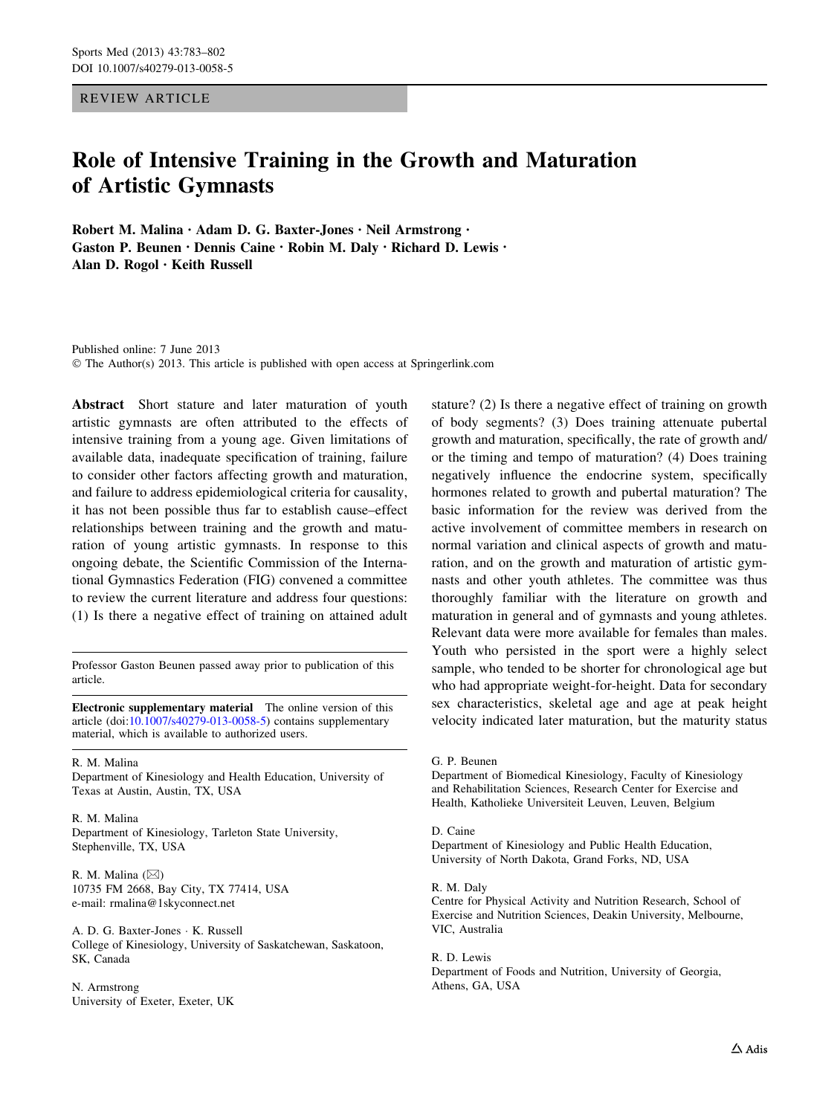REVIEW ARTICLE

# Role of Intensive Training in the Growth and Maturation of Artistic Gymnasts

Robert M. Malina • Adam D. G. Baxter-Jones • Neil Armstrong • Gaston P. Beunen • Dennis Caine • Robin M. Daly • Richard D. Lewis • Alan D. Rogol • Keith Russell

Published online: 7 June 2013 © The Author(s) 2013. This article is published with open access at Springerlink.com

Abstract Short stature and later maturation of youth artistic gymnasts are often attributed to the effects of intensive training from a young age. Given limitations of available data, inadequate specification of training, failure to consider other factors affecting growth and maturation, and failure to address epidemiological criteria for causality, it has not been possible thus far to establish cause–effect relationships between training and the growth and maturation of young artistic gymnasts. In response to this ongoing debate, the Scientific Commission of the International Gymnastics Federation (FIG) convened a committee to review the current literature and address four questions: (1) Is there a negative effect of training on attained adult

Professor Gaston Beunen passed away prior to publication of this article.

Electronic supplementary material The online version of this article (doi:[10.1007/s40279-013-0058-5\)](http://dx.doi.org/10.1007/s40279-013-0058-5) contains supplementary material, which is available to authorized users.

#### R. M. Malina

Department of Kinesiology and Health Education, University of Texas at Austin, Austin, TX, USA

R. M. Malina Department of Kinesiology, Tarleton State University, Stephenville, TX, USA

R. M. Malina  $(\boxtimes)$ 10735 FM 2668, Bay City, TX 77414, USA e-mail: rmalina@1skyconnect.net

A. D. G. Baxter-Jones - K. Russell College of Kinesiology, University of Saskatchewan, Saskatoon, SK, Canada

N. Armstrong University of Exeter, Exeter, UK stature? (2) Is there a negative effect of training on growth of body segments? (3) Does training attenuate pubertal growth and maturation, specifically, the rate of growth and/ or the timing and tempo of maturation? (4) Does training negatively influence the endocrine system, specifically hormones related to growth and pubertal maturation? The basic information for the review was derived from the active involvement of committee members in research on normal variation and clinical aspects of growth and maturation, and on the growth and maturation of artistic gymnasts and other youth athletes. The committee was thus thoroughly familiar with the literature on growth and maturation in general and of gymnasts and young athletes. Relevant data were more available for females than males. Youth who persisted in the sport were a highly select sample, who tended to be shorter for chronological age but who had appropriate weight-for-height. Data for secondary sex characteristics, skeletal age and age at peak height velocity indicated later maturation, but the maturity status

#### G. P. Beunen

Department of Biomedical Kinesiology, Faculty of Kinesiology and Rehabilitation Sciences, Research Center for Exercise and Health, Katholieke Universiteit Leuven, Leuven, Belgium

#### D. Caine

Department of Kinesiology and Public Health Education, University of North Dakota, Grand Forks, ND, USA

#### R. M. Daly

Centre for Physical Activity and Nutrition Research, School of Exercise and Nutrition Sciences, Deakin University, Melbourne, VIC, Australia

R. D. Lewis Department of Foods and Nutrition, University of Georgia, Athens, GA, USA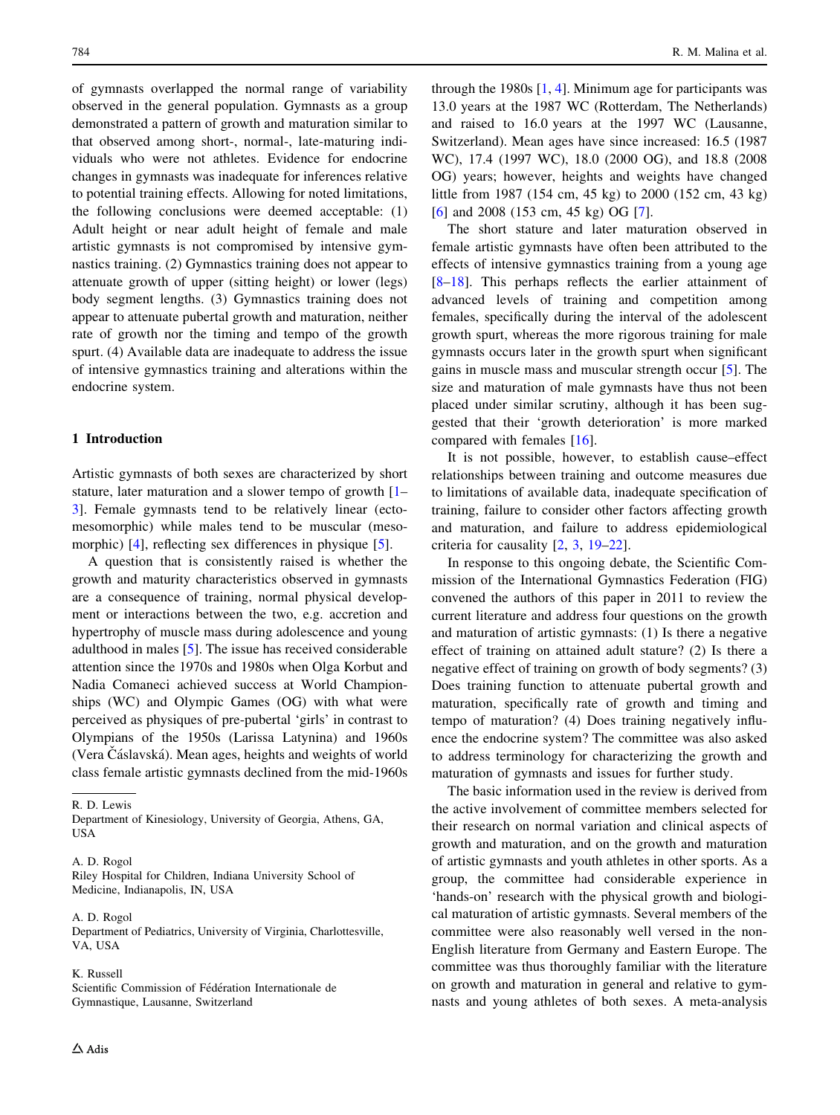of gymnasts overlapped the normal range of variability observed in the general population. Gymnasts as a group demonstrated a pattern of growth and maturation similar to that observed among short-, normal-, late-maturing individuals who were not athletes. Evidence for endocrine changes in gymnasts was inadequate for inferences relative to potential training effects. Allowing for noted limitations, the following conclusions were deemed acceptable: (1) Adult height or near adult height of female and male artistic gymnasts is not compromised by intensive gymnastics training. (2) Gymnastics training does not appear to attenuate growth of upper (sitting height) or lower (legs) body segment lengths. (3) Gymnastics training does not appear to attenuate pubertal growth and maturation, neither rate of growth nor the timing and tempo of the growth spurt. (4) Available data are inadequate to address the issue of intensive gymnastics training and alterations within the endocrine system.

# 1 Introduction

Artistic gymnasts of both sexes are characterized by short stature, later maturation and a slower tempo of growth [\[1](#page-16-0)– [3](#page-16-0)]. Female gymnasts tend to be relatively linear (ectomesomorphic) while males tend to be muscular (meso-morphic) [\[4](#page-16-0)], reflecting sex differences in physique [[5\]](#page-16-0).

A question that is consistently raised is whether the growth and maturity characteristics observed in gymnasts are a consequence of training, normal physical development or interactions between the two, e.g. accretion and hypertrophy of muscle mass during adolescence and young adulthood in males [[5\]](#page-16-0). The issue has received considerable attention since the 1970s and 1980s when Olga Korbut and Nadia Comaneci achieved success at World Championships (WC) and Olympic Games (OG) with what were perceived as physiques of pre-pubertal 'girls' in contrast to Olympians of the 1950s (Larissa Latynina) and 1960s (Vera Čáslavská). Mean ages, heights and weights of world class female artistic gymnasts declined from the mid-1960s

R. D. Lewis

A. D. Rogol Riley Hospital for Children, Indiana University School of Medicine, Indianapolis, IN, USA

A. D. Rogol Department of Pediatrics, University of Virginia, Charlottesville, VA, USA

#### K. Russell

Scientific Commission of Fédération Internationale de Gymnastique, Lausanne, Switzerland

through the 1980s [[1,](#page-16-0) [4\]](#page-16-0). Minimum age for participants was 13.0 years at the 1987 WC (Rotterdam, The Netherlands) and raised to 16.0 years at the 1997 WC (Lausanne, Switzerland). Mean ages have since increased: 16.5 (1987 WC), 17.4 (1997 WC), 18.0 (2000 OG), and 18.8 (2008 OG) years; however, heights and weights have changed little from 1987 (154 cm, 45 kg) to 2000 (152 cm, 43 kg) [\[6](#page-16-0)] and 2008 (153 cm, 45 kg) OG [[7\]](#page-16-0).

The short stature and later maturation observed in female artistic gymnasts have often been attributed to the effects of intensive gymnastics training from a young age [\[8–18](#page-16-0)]. This perhaps reflects the earlier attainment of advanced levels of training and competition among females, specifically during the interval of the adolescent growth spurt, whereas the more rigorous training for male gymnasts occurs later in the growth spurt when significant gains in muscle mass and muscular strength occur [\[5\]](#page-16-0). The size and maturation of male gymnasts have thus not been placed under similar scrutiny, although it has been suggested that their 'growth deterioration' is more marked compared with females [[16\]](#page-16-0).

It is not possible, however, to establish cause–effect relationships between training and outcome measures due to limitations of available data, inadequate specification of training, failure to consider other factors affecting growth and maturation, and failure to address epidemiological criteria for causality [\[2](#page-16-0), [3](#page-16-0), [19–22\]](#page-16-0).

In response to this ongoing debate, the Scientific Commission of the International Gymnastics Federation (FIG) convened the authors of this paper in 2011 to review the current literature and address four questions on the growth and maturation of artistic gymnasts: (1) Is there a negative effect of training on attained adult stature? (2) Is there a negative effect of training on growth of body segments? (3) Does training function to attenuate pubertal growth and maturation, specifically rate of growth and timing and tempo of maturation? (4) Does training negatively influence the endocrine system? The committee was also asked to address terminology for characterizing the growth and maturation of gymnasts and issues for further study.

The basic information used in the review is derived from the active involvement of committee members selected for their research on normal variation and clinical aspects of growth and maturation, and on the growth and maturation of artistic gymnasts and youth athletes in other sports. As a group, the committee had considerable experience in 'hands-on' research with the physical growth and biological maturation of artistic gymnasts. Several members of the committee were also reasonably well versed in the non-English literature from Germany and Eastern Europe. The committee was thus thoroughly familiar with the literature on growth and maturation in general and relative to gymnasts and young athletes of both sexes. A meta-analysis

Department of Kinesiology, University of Georgia, Athens, GA, USA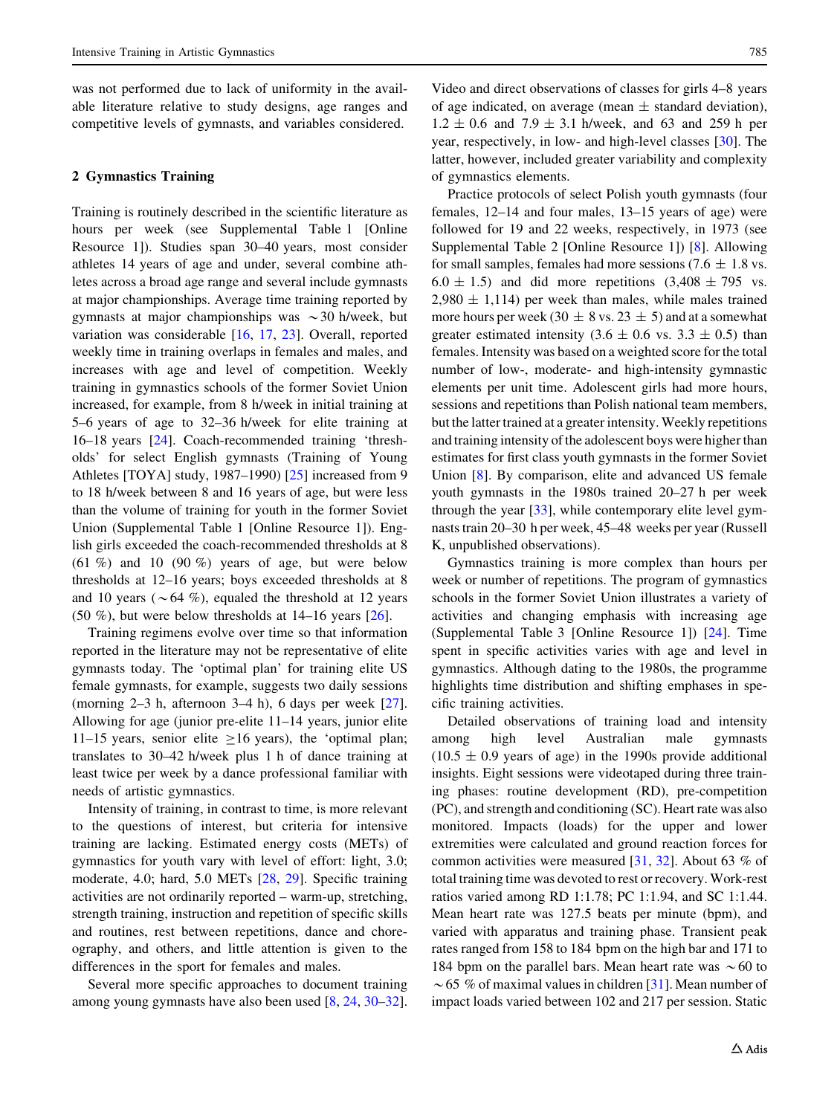was not performed due to lack of uniformity in the available literature relative to study designs, age ranges and competitive levels of gymnasts, and variables considered.

## 2 Gymnastics Training

Training is routinely described in the scientific literature as hours per week (see Supplemental Table 1 [Online Resource 1]). Studies span 30–40 years, most consider athletes 14 years of age and under, several combine athletes across a broad age range and several include gymnasts at major championships. Average time training reported by gymnasts at major championships was  $\sim$  30 h/week, but variation was considerable [\[16](#page-16-0), [17,](#page-16-0) [23\]](#page-16-0). Overall, reported weekly time in training overlaps in females and males, and increases with age and level of competition. Weekly training in gymnastics schools of the former Soviet Union increased, for example, from 8 h/week in initial training at 5–6 years of age to 32–36 h/week for elite training at 16–18 years [\[24](#page-16-0)]. Coach-recommended training 'thresholds' for select English gymnasts (Training of Young Athletes [TOYA] study, 1987–1990) [\[25](#page-16-0)] increased from 9 to 18 h/week between 8 and 16 years of age, but were less than the volume of training for youth in the former Soviet Union (Supplemental Table 1 [Online Resource 1]). English girls exceeded the coach-recommended thresholds at 8  $(61 \%)$  and 10  $(90 \%)$  years of age, but were below thresholds at 12–16 years; boys exceeded thresholds at 8 and 10 years ( $\sim 64$  %), equaled the threshold at 12 years (50 %), but were below thresholds at 14–16 years [[26\]](#page-17-0).

Training regimens evolve over time so that information reported in the literature may not be representative of elite gymnasts today. The 'optimal plan' for training elite US female gymnasts, for example, suggests two daily sessions (morning 2–3 h, afternoon 3–4 h), 6 days per week [\[27](#page-17-0)]. Allowing for age (junior pre-elite 11–14 years, junior elite 11–15 years, senior elite  $\geq$ 16 years), the 'optimal plan; translates to 30–42 h/week plus 1 h of dance training at least twice per week by a dance professional familiar with needs of artistic gymnastics.

Intensity of training, in contrast to time, is more relevant to the questions of interest, but criteria for intensive training are lacking. Estimated energy costs (METs) of gymnastics for youth vary with level of effort: light, 3.0; moderate, 4.0; hard, 5.0 METs [\[28](#page-17-0), [29](#page-17-0)]. Specific training activities are not ordinarily reported – warm-up, stretching, strength training, instruction and repetition of specific skills and routines, rest between repetitions, dance and choreography, and others, and little attention is given to the differences in the sport for females and males.

Several more specific approaches to document training among young gymnasts have also been used [[8,](#page-16-0) [24](#page-16-0), [30–32](#page-17-0)].

Video and direct observations of classes for girls 4–8 years of age indicated, on average (mean  $\pm$  standard deviation),  $1.2 \pm 0.6$  and  $7.9 \pm 3.1$  h/week, and 63 and 259 h per year, respectively, in low- and high-level classes [[30\]](#page-17-0). The latter, however, included greater variability and complexity of gymnastics elements.

Practice protocols of select Polish youth gymnasts (four females, 12–14 and four males, 13–15 years of age) were followed for 19 and 22 weeks, respectively, in 1973 (see Supplemental Table 2 [Online Resource 1]) [\[8](#page-16-0)]. Allowing for small samples, females had more sessions (7.6  $\pm$  1.8 vs.)  $6.0 \pm 1.5$ ) and did more repetitions  $(3,408 \pm 795$  vs.  $2,980 \pm 1,114$ ) per week than males, while males trained more hours per week (30  $\pm$  8 vs. 23  $\pm$  5) and at a somewhat greater estimated intensity  $(3.6 \pm 0.6 \text{ vs. } 3.3 \pm 0.5)$  than females. Intensity was based on a weighted score for the total number of low-, moderate- and high-intensity gymnastic elements per unit time. Adolescent girls had more hours, sessions and repetitions than Polish national team members, but the latter trained at a greater intensity. Weekly repetitions and training intensity of the adolescent boys were higher than estimates for first class youth gymnasts in the former Soviet Union [[8\]](#page-16-0). By comparison, elite and advanced US female youth gymnasts in the 1980s trained 20–27 h per week through the year [\[33\]](#page-17-0), while contemporary elite level gymnasts train 20–30 h per week, 45–48 weeks per year (Russell K, unpublished observations).

Gymnastics training is more complex than hours per week or number of repetitions. The program of gymnastics schools in the former Soviet Union illustrates a variety of activities and changing emphasis with increasing age (Supplemental Table 3 [Online Resource 1]) [\[24](#page-16-0)]. Time spent in specific activities varies with age and level in gymnastics. Although dating to the 1980s, the programme highlights time distribution and shifting emphases in specific training activities.

Detailed observations of training load and intensity among high level Australian male gymnasts  $(10.5 \pm 0.9$  years of age) in the 1990s provide additional insights. Eight sessions were videotaped during three training phases: routine development (RD), pre-competition (PC), and strength and conditioning (SC). Heart rate was also monitored. Impacts (loads) for the upper and lower extremities were calculated and ground reaction forces for common activities were measured [[31,](#page-17-0) [32](#page-17-0)]. About 63 % of total training time was devoted to rest or recovery. Work-rest ratios varied among RD 1:1.78; PC 1:1.94, and SC 1:1.44. Mean heart rate was 127.5 beats per minute (bpm), and varied with apparatus and training phase. Transient peak rates ranged from 158 to 184 bpm on the high bar and 171 to 184 bpm on the parallel bars. Mean heart rate was  $\sim 60$  to  $\sim$  65 % of maximal values in children [\[31](#page-17-0)]. Mean number of impact loads varied between 102 and 217 per session. Static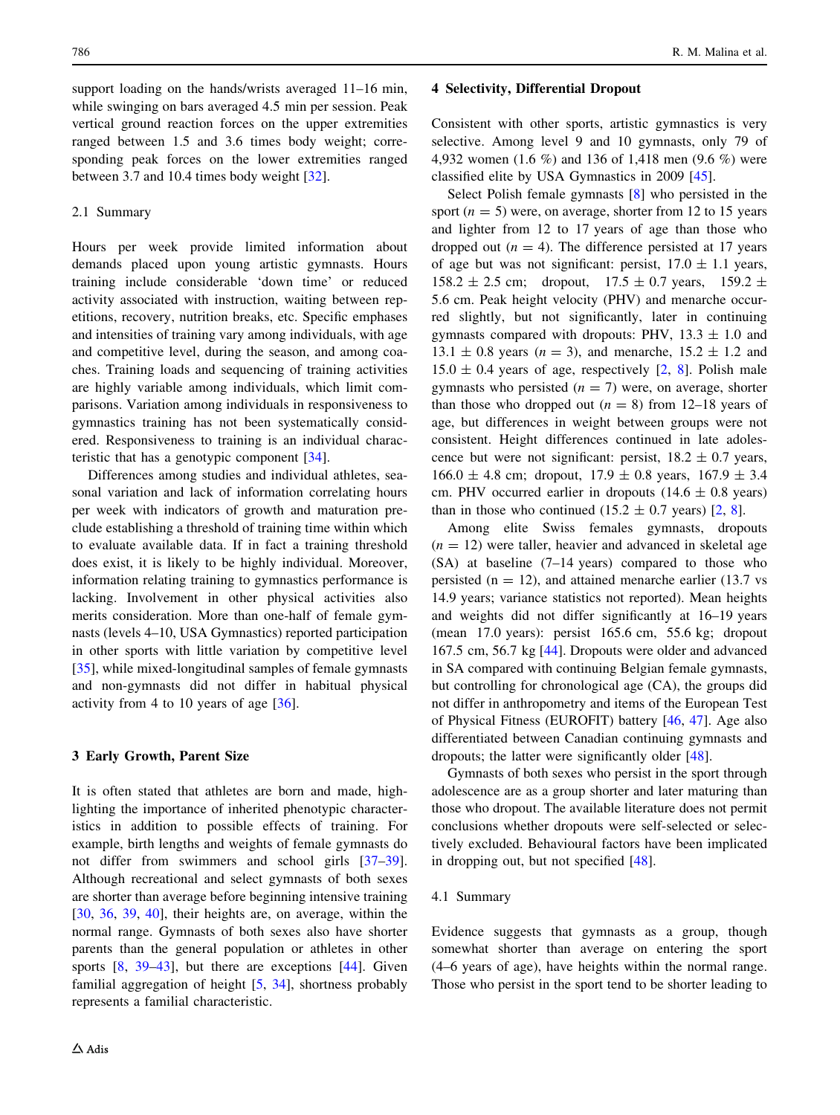support loading on the hands/wrists averaged 11–16 min, while swinging on bars averaged 4.5 min per session. Peak vertical ground reaction forces on the upper extremities ranged between 1.5 and 3.6 times body weight; corresponding peak forces on the lower extremities ranged between 3.7 and 10.4 times body weight [\[32](#page-17-0)].

#### 2.1 Summary

Hours per week provide limited information about demands placed upon young artistic gymnasts. Hours training include considerable 'down time' or reduced activity associated with instruction, waiting between repetitions, recovery, nutrition breaks, etc. Specific emphases and intensities of training vary among individuals, with age and competitive level, during the season, and among coaches. Training loads and sequencing of training activities are highly variable among individuals, which limit comparisons. Variation among individuals in responsiveness to gymnastics training has not been systematically considered. Responsiveness to training is an individual characteristic that has a genotypic component [\[34](#page-17-0)].

Differences among studies and individual athletes, seasonal variation and lack of information correlating hours per week with indicators of growth and maturation preclude establishing a threshold of training time within which to evaluate available data. If in fact a training threshold does exist, it is likely to be highly individual. Moreover, information relating training to gymnastics performance is lacking. Involvement in other physical activities also merits consideration. More than one-half of female gymnasts (levels 4–10, USA Gymnastics) reported participation in other sports with little variation by competitive level [\[35](#page-17-0)], while mixed-longitudinal samples of female gymnasts and non-gymnasts did not differ in habitual physical activity from 4 to 10 years of age [[36\]](#page-17-0).

#### 3 Early Growth, Parent Size

It is often stated that athletes are born and made, highlighting the importance of inherited phenotypic characteristics in addition to possible effects of training. For example, birth lengths and weights of female gymnasts do not differ from swimmers and school girls [\[37–39](#page-17-0)]. Although recreational and select gymnasts of both sexes are shorter than average before beginning intensive training [\[30](#page-17-0), [36,](#page-17-0) [39,](#page-17-0) [40](#page-17-0)], their heights are, on average, within the normal range. Gymnasts of both sexes also have shorter parents than the general population or athletes in other sports [\[8](#page-16-0), [39–43\]](#page-17-0), but there are exceptions [[44\]](#page-17-0). Given familial aggregation of height [[5,](#page-16-0) [34\]](#page-17-0), shortness probably represents a familial characteristic.

#### 4 Selectivity, Differential Dropout

Consistent with other sports, artistic gymnastics is very selective. Among level 9 and 10 gymnasts, only 79 of 4,932 women (1.6 %) and 136 of 1,418 men (9.6 %) were classified elite by USA Gymnastics in 2009 [\[45](#page-17-0)].

Select Polish female gymnasts [\[8](#page-16-0)] who persisted in the sport ( $n = 5$ ) were, on average, shorter from 12 to 15 years and lighter from 12 to 17 years of age than those who dropped out  $(n = 4)$ . The difference persisted at 17 years of age but was not significant: persist,  $17.0 \pm 1.1$  years,  $158.2 \pm 2.5$  cm; dropout,  $17.5 \pm 0.7$  years,  $159.2 \pm 1.5$ 5.6 cm. Peak height velocity (PHV) and menarche occurred slightly, but not significantly, later in continuing gymnasts compared with dropouts: PHV,  $13.3 \pm 1.0$  and  $13.1 \pm 0.8$  years ( $n = 3$ ), and menarche,  $15.2 \pm 1.2$  and  $15.0 \pm 0.4$  years of age, respectively [[2,](#page-16-0) [8](#page-16-0)]. Polish male gymnasts who persisted  $(n = 7)$  were, on average, shorter than those who dropped out  $(n = 8)$  from 12–18 years of age, but differences in weight between groups were not consistent. Height differences continued in late adolescence but were not significant: persist,  $18.2 \pm 0.7$  years,  $166.0 \pm 4.8$  cm; dropout,  $17.9 \pm 0.8$  years,  $167.9 \pm 3.4$ cm. PHV occurred earlier in dropouts  $(14.6 \pm 0.8 \text{ years})$ than in those who continued (15.2  $\pm$  0.7 years) [[2,](#page-16-0) [8](#page-16-0)].

Among elite Swiss females gymnasts, dropouts  $(n = 12)$  were taller, heavier and advanced in skeletal age  $(SA)$  at baseline  $(7-14 \text{ years})$  compared to those who persisted ( $n = 12$ ), and attained menarche earlier (13.7 vs 14.9 years; variance statistics not reported). Mean heights and weights did not differ significantly at 16–19 years (mean 17.0 years): persist 165.6 cm, 55.6 kg; dropout 167.5 cm, 56.7 kg [[44\]](#page-17-0). Dropouts were older and advanced in SA compared with continuing Belgian female gymnasts, but controlling for chronological age (CA), the groups did not differ in anthropometry and items of the European Test of Physical Fitness (EUROFIT) battery [\[46](#page-17-0), [47](#page-17-0)]. Age also differentiated between Canadian continuing gymnasts and dropouts; the latter were significantly older [[48\]](#page-17-0).

Gymnasts of both sexes who persist in the sport through adolescence are as a group shorter and later maturing than those who dropout. The available literature does not permit conclusions whether dropouts were self-selected or selectively excluded. Behavioural factors have been implicated in dropping out, but not specified [[48\]](#page-17-0).

#### 4.1 Summary

Evidence suggests that gymnasts as a group, though somewhat shorter than average on entering the sport (4–6 years of age), have heights within the normal range. Those who persist in the sport tend to be shorter leading to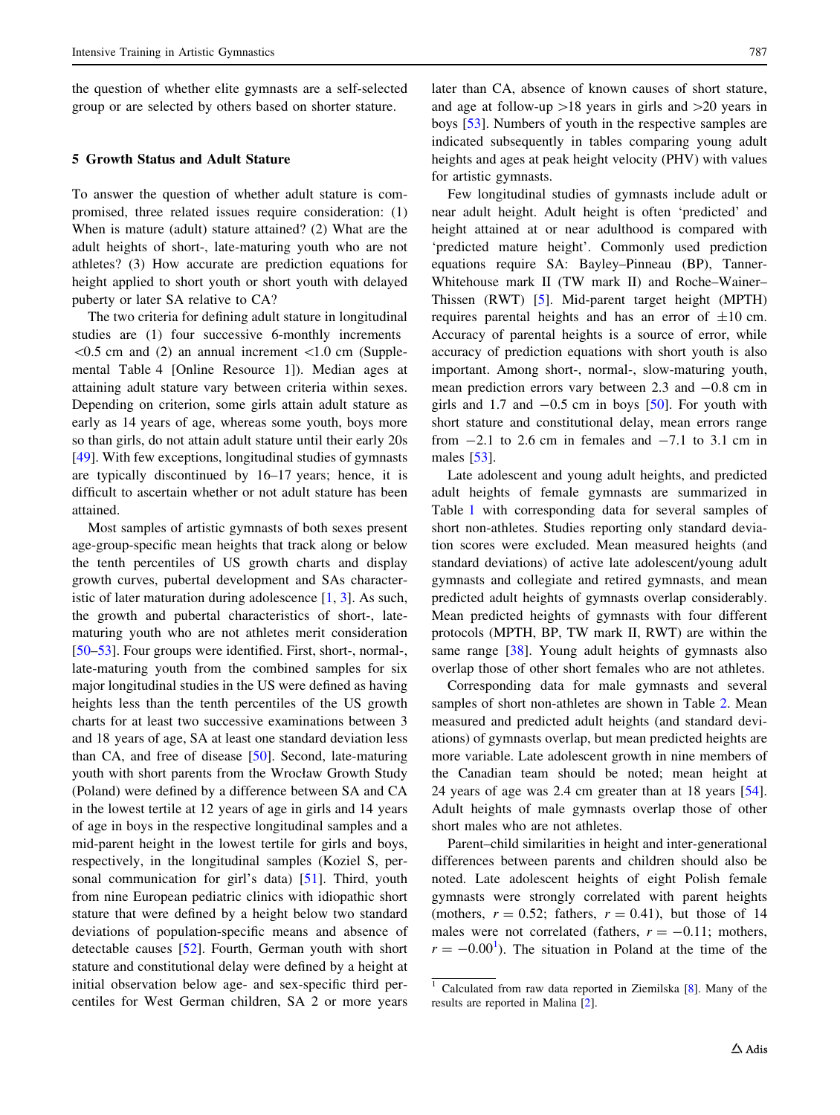the question of whether elite gymnasts are a self-selected group or are selected by others based on shorter stature.

## 5 Growth Status and Adult Stature

To answer the question of whether adult stature is compromised, three related issues require consideration: (1) When is mature (adult) stature attained? (2) What are the adult heights of short-, late-maturing youth who are not athletes? (3) How accurate are prediction equations for height applied to short youth or short youth with delayed puberty or later SA relative to CA?

The two criteria for defining adult stature in longitudinal studies are (1) four successive 6-monthly increments  $\leq 0.5$  cm and (2) an annual increment  $\leq 1.0$  cm (Supplemental Table 4 [Online Resource 1]). Median ages at attaining adult stature vary between criteria within sexes. Depending on criterion, some girls attain adult stature as early as 14 years of age, whereas some youth, boys more so than girls, do not attain adult stature until their early 20s [\[49](#page-17-0)]. With few exceptions, longitudinal studies of gymnasts are typically discontinued by 16–17 years; hence, it is difficult to ascertain whether or not adult stature has been attained.

Most samples of artistic gymnasts of both sexes present age-group-specific mean heights that track along or below the tenth percentiles of US growth charts and display growth curves, pubertal development and SAs characteristic of later maturation during adolescence  $[1, 3]$  $[1, 3]$  $[1, 3]$  $[1, 3]$ . As such, the growth and pubertal characteristics of short-, latematuring youth who are not athletes merit consideration [\[50–53](#page-17-0)]. Four groups were identified. First, short-, normal-, late-maturing youth from the combined samples for six major longitudinal studies in the US were defined as having heights less than the tenth percentiles of the US growth charts for at least two successive examinations between 3 and 18 years of age, SA at least one standard deviation less than CA, and free of disease [\[50](#page-17-0)]. Second, late-maturing youth with short parents from the Wrocław Growth Study (Poland) were defined by a difference between SA and CA in the lowest tertile at 12 years of age in girls and 14 years of age in boys in the respective longitudinal samples and a mid-parent height in the lowest tertile for girls and boys, respectively, in the longitudinal samples (Koziel S, personal communication for girl's data) [[51\]](#page-17-0). Third, youth from nine European pediatric clinics with idiopathic short stature that were defined by a height below two standard deviations of population-specific means and absence of detectable causes [[52\]](#page-17-0). Fourth, German youth with short stature and constitutional delay were defined by a height at initial observation below age- and sex-specific third percentiles for West German children, SA 2 or more years

later than CA, absence of known causes of short stature, and age at follow-up  $>18$  years in girls and  $>20$  years in boys [\[53](#page-17-0)]. Numbers of youth in the respective samples are indicated subsequently in tables comparing young adult heights and ages at peak height velocity (PHV) with values for artistic gymnasts.

Few longitudinal studies of gymnasts include adult or near adult height. Adult height is often 'predicted' and height attained at or near adulthood is compared with 'predicted mature height'. Commonly used prediction equations require SA: Bayley–Pinneau (BP), Tanner-Whitehouse mark II (TW mark II) and Roche–Wainer– Thissen (RWT) [[5\]](#page-16-0). Mid-parent target height (MPTH) requires parental heights and has an error of  $\pm 10$  cm. Accuracy of parental heights is a source of error, while accuracy of prediction equations with short youth is also important. Among short-, normal-, slow-maturing youth, mean prediction errors vary between  $2.3$  and  $-0.8$  cm in girls and 1.7 and  $-0.5$  cm in boys [\[50](#page-17-0)]. For youth with short stature and constitutional delay, mean errors range from  $-2.1$  to 2.6 cm in females and  $-7.1$  to 3.1 cm in males [\[53](#page-17-0)].

Late adolescent and young adult heights, and predicted adult heights of female gymnasts are summarized in Table [1](#page-5-0) with corresponding data for several samples of short non-athletes. Studies reporting only standard deviation scores were excluded. Mean measured heights (and standard deviations) of active late adolescent/young adult gymnasts and collegiate and retired gymnasts, and mean predicted adult heights of gymnasts overlap considerably. Mean predicted heights of gymnasts with four different protocols (MPTH, BP, TW mark II, RWT) are within the same range [[38\]](#page-17-0). Young adult heights of gymnasts also overlap those of other short females who are not athletes.

Corresponding data for male gymnasts and several samples of short non-athletes are shown in Table [2.](#page-6-0) Mean measured and predicted adult heights (and standard deviations) of gymnasts overlap, but mean predicted heights are more variable. Late adolescent growth in nine members of the Canadian team should be noted; mean height at 24 years of age was 2.4 cm greater than at 18 years [\[54](#page-17-0)]. Adult heights of male gymnasts overlap those of other short males who are not athletes.

Parent–child similarities in height and inter-generational differences between parents and children should also be noted. Late adolescent heights of eight Polish female gymnasts were strongly correlated with parent heights (mothers,  $r = 0.52$ ; fathers,  $r = 0.41$ ), but those of 14 males were not correlated (fathers,  $r = -0.11$ ; mothers,  $r = -0.00<sup>1</sup>$ ). The situation in Poland at the time of the

<sup>1</sup> Calculated from raw data reported in Ziemilska [\[8](#page-16-0)]. Many of the results are reported in Malina [[2\]](#page-16-0).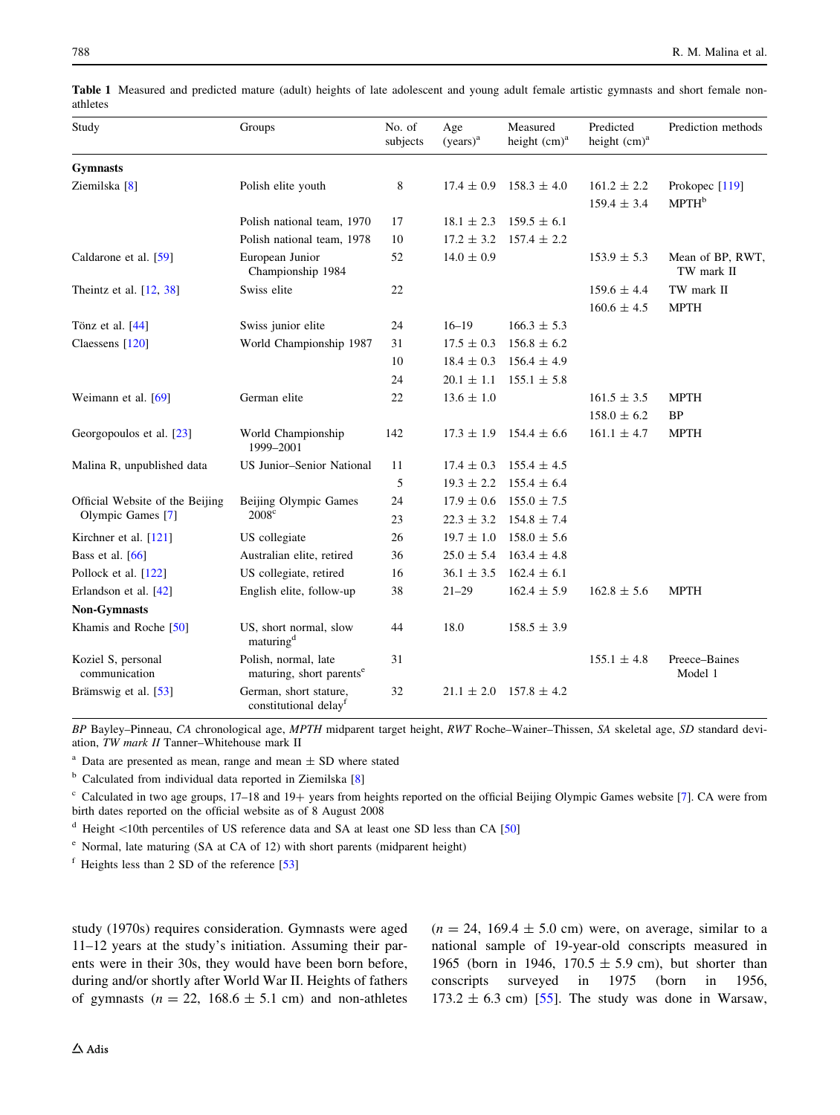| Study                               | Groups                                                       | No. of<br>subjects | Age<br>(years) <sup>a</sup> | Measured<br>height $(cm)a$ | Predicted<br>height (cm) <sup>a</sup> | Prediction methods                  |
|-------------------------------------|--------------------------------------------------------------|--------------------|-----------------------------|----------------------------|---------------------------------------|-------------------------------------|
| <b>Gymnasts</b>                     |                                                              |                    |                             |                            |                                       |                                     |
| Ziemilska [8]                       | Polish elite youth                                           | 8                  | $17.4 \pm 0.9$              | $158.3 \pm 4.0$            | $161.2 \pm 2.2$<br>$159.4 \pm 3.4$    | Prokopec [119]<br>MPTH <sup>b</sup> |
|                                     | Polish national team, 1970                                   | 17                 | $18.1 \pm 2.3$              | $159.5 \pm 6.1$            |                                       |                                     |
|                                     | Polish national team, 1978                                   | 10                 | $17.2 \pm 3.2$              | $157.4 \pm 2.2$            |                                       |                                     |
| Caldarone et al. [59]               | European Junior<br>Championship 1984                         | 52                 | $14.0 \pm 0.9$              |                            | $153.9 \pm 5.3$                       | Mean of BP, RWT,<br>TW mark II      |
| Theintz et al. $[12, 38]$           | Swiss elite                                                  | 22                 |                             |                            | $159.6 \pm 4.4$                       | TW mark II                          |
|                                     |                                                              |                    |                             |                            | $160.6 \pm 4.5$                       | <b>MPTH</b>                         |
| Tönz et al. [44]                    | Swiss junior elite                                           | 24                 | $16 - 19$                   | $166.3 \pm 5.3$            |                                       |                                     |
| Claessens [120]                     | World Championship 1987                                      | 31                 | $17.5 \pm 0.3$              | $156.8 \pm 6.2$            |                                       |                                     |
|                                     |                                                              | 10                 | $18.4 \pm 0.3$              | $156.4 \pm 4.9$            |                                       |                                     |
|                                     |                                                              | 24                 | $20.1 \pm 1.1$              | $155.1 \pm 5.8$            |                                       |                                     |
| Weimann et al. [69]                 | German elite                                                 | 22                 | $13.6 \pm 1.0$              |                            | $161.5 \pm 3.5$                       | <b>MPTH</b>                         |
|                                     |                                                              |                    |                             |                            | $158.0 \pm 6.2$                       | <b>BP</b>                           |
| Georgopoulos et al. [23]            | World Championship<br>1999-2001                              | 142                | $17.3 \pm 1.9$              | $154.4 \pm 6.6$            | $161.1 \pm 4.7$                       | <b>MPTH</b>                         |
| Malina R, unpublished data          | <b>US Junior-Senior National</b>                             | 11                 | $17.4 \pm 0.3$              | $155.4 \pm 4.5$            |                                       |                                     |
|                                     |                                                              | 5                  | $19.3 \pm 2.2$              | $155.4 \pm 6.4$            |                                       |                                     |
| Official Website of the Beijing     | Beijing Olympic Games                                        | 24                 | $17.9 \pm 0.6$              | $155.0 \pm 7.5$            |                                       |                                     |
| Olympic Games [7]                   | $2008^{\circ}$                                               | 23                 | $22.3 \pm 3.2$              | $154.8 \pm 7.4$            |                                       |                                     |
| Kirchner et al. $[121]$             | US collegiate                                                | 26                 | $19.7 \pm 1.0$              | $158.0 \pm 5.6$            |                                       |                                     |
| Bass et al. $[66]$                  | Australian elite, retired                                    | 36                 | $25.0 \pm 5.4$              | $163.4 \pm 4.8$            |                                       |                                     |
| Pollock et al. [122]                | US collegiate, retired                                       | 16                 | $36.1 \pm 3.5$              | $162.4 \pm 6.1$            |                                       |                                     |
| Erlandson et al. [42]               | English elite, follow-up                                     | 38                 | $21 - 29$                   | $162.4 \pm 5.9$            | $162.8 \pm 5.6$                       | <b>MPTH</b>                         |
| <b>Non-Gymnasts</b>                 |                                                              |                    |                             |                            |                                       |                                     |
| Khamis and Roche [50]               | US, short normal, slow<br>maturing <sup>d</sup>              | 44                 | 18.0                        | $158.5 \pm 3.9$            |                                       |                                     |
| Koziel S, personal<br>communication | Polish, normal, late<br>maturing, short parents <sup>e</sup> | 31                 |                             |                            | $155.1 \pm 4.8$                       | Preece-Baines<br>Model 1            |
| Brämswig et al. [53]                | German, short stature,<br>constitutional delay <sup>f</sup>  | 32                 | $21.1 \pm 2.0$              | $157.8 \pm 4.2$            |                                       |                                     |

<span id="page-5-0"></span>Table 1 Measured and predicted mature (adult) heights of late adolescent and young adult female artistic gymnasts and short female nonathletes

BP Bayley–Pinneau, CA chronological age, MPTH midparent target height, RWT Roche–Wainer–Thissen, SA skeletal age, SD standard deviation, TW mark II Tanner–Whitehouse mark II

 $a$  Data are presented as mean, range and mean  $\pm$  SD where stated

 $<sup>b</sup>$  Calculated from individual data reported in Ziemilska [[8\]](#page-16-0)</sup>

 $c$  Calculated in two age groups, 17–18 and 19+ years from heights reported on the official Beijing Olympic Games website [\[7](#page-16-0)]. CA were from birth dates reported on the official website as of 8 August 2008

 $d$  Height <10th percentiles of US reference data and SA at least one SD less than CA [[50](#page-17-0)]

<sup>e</sup> Normal, late maturing (SA at CA of 12) with short parents (midparent height)

 $f$  Heights less than 2 SD of the reference [[53](#page-17-0)]

study (1970s) requires consideration. Gymnasts were aged 11–12 years at the study's initiation. Assuming their parents were in their 30s, they would have been born before, during and/or shortly after World War II. Heights of fathers of gymnasts ( $n = 22$ , 168.6  $\pm$  5.1 cm) and non-athletes  $(n = 24, 169.4 \pm 5.0 \text{ cm})$  were, on average, similar to a national sample of 19-year-old conscripts measured in 1965 (born in 1946, 170.5  $\pm$  5.9 cm), but shorter than conscripts surveyed in 1975 (born in 1956,  $173.2 \pm 6.3$  cm) [[55\]](#page-17-0). The study was done in Warsaw,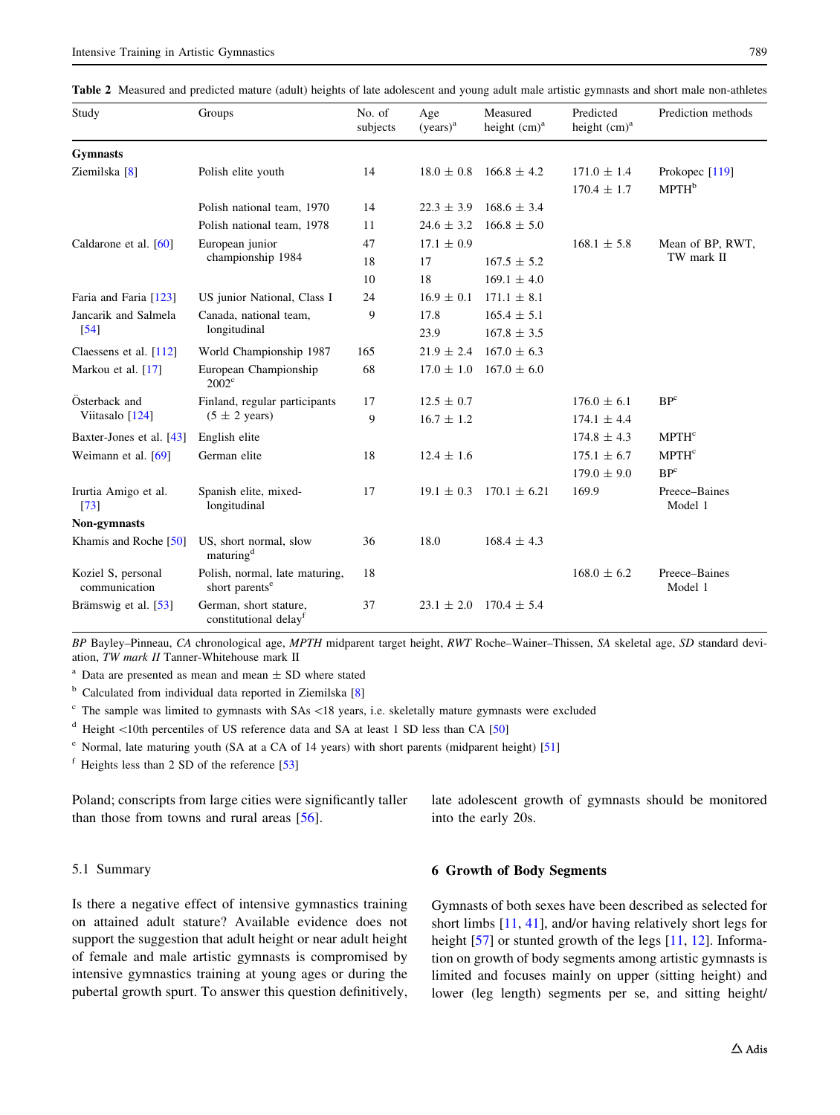<span id="page-6-0"></span>Table 2 Measured and predicted mature (adult) heights of late adolescent and young adult male artistic gymnasts and short male non-athletes

| Study                               | Groups                                                       | No. of<br>subjects | Age<br>$(years)^a$ | Measured<br>height $(cm)^a$ | Predicted<br>height $(cm)a$        | Prediction methods                  |
|-------------------------------------|--------------------------------------------------------------|--------------------|--------------------|-----------------------------|------------------------------------|-------------------------------------|
| <b>Gymnasts</b>                     |                                                              |                    |                    |                             |                                    |                                     |
| Ziemilska [8]                       | Polish elite youth                                           | 14                 | $18.0 \pm 0.8$     | $166.8 \pm 4.2$             | $171.0 \pm 1.4$<br>$170.4 \pm 1.7$ | Prokopec [119]<br>MPTH <sup>b</sup> |
|                                     | Polish national team, 1970                                   | 14                 | $22.3 \pm 3.9$     | $168.6 \pm 3.4$             |                                    |                                     |
|                                     | Polish national team, 1978                                   | 11                 | $24.6 \pm 3.2$     | $166.8 \pm 5.0$             |                                    |                                     |
| Caldarone et al. [60]               | European junior                                              | 47                 | $17.1 \pm 0.9$     |                             | $168.1 \pm 5.8$                    | Mean of BP, RWT,                    |
|                                     | championship 1984                                            | 18                 | 17                 | $167.5 \pm 5.2$             |                                    | TW mark II                          |
|                                     |                                                              | 10                 | 18                 | $169.1 \pm 4.0$             |                                    |                                     |
| Faria and Faria [123]               | US junior National, Class I                                  | 24                 | $16.9 \pm 0.1$     | $171.1 \pm 8.1$             |                                    |                                     |
| Jancarik and Salmela                | Canada, national team,<br>longitudinal                       | 9                  | 17.8               | $165.4 \pm 5.1$             |                                    |                                     |
| $\left[54\right]$                   |                                                              |                    | 23.9               | $167.8 \pm 3.5$             |                                    |                                     |
| Claessens et al. $[112]$            | World Championship 1987                                      | 165                | $21.9 \pm 2.4$     | $167.0 \pm 6.3$             |                                    |                                     |
| Markou et al. [17]                  | European Championship<br>$2002^{\circ}$                      | 68                 | $17.0 \pm 1.0$     | $167.0 \pm 6.0$             |                                    |                                     |
| Österback and                       | Finland, regular participants<br>$(5 \pm 2 \text{ years})$   | 17                 | $12.5 \pm 0.7$     |                             | $176.0 \pm 6.1$                    | $BP^c$                              |
| Viitasalo [124]                     |                                                              | 9                  | $16.7 \pm 1.2$     |                             | $174.1 \pm 4.4$                    |                                     |
| Baxter-Jones et al. [43]            | English elite                                                |                    |                    |                             | $174.8 \pm 4.3$                    | MPTH <sup>c</sup>                   |
| Weimann et al. [69]                 | German elite                                                 | 18                 | $12.4 \pm 1.6$     |                             | $175.1 \pm 6.7$                    | <b>MPTH<sup>c</sup></b>             |
|                                     |                                                              |                    |                    |                             | $179.0 \pm 9.0$                    | BP <sup>c</sup>                     |
| Irurtia Amigo et al.<br>[73]        | Spanish elite, mixed-<br>longitudinal                        | 17                 | $19.1 \pm 0.3$     | $170.1 \pm 6.21$            | 169.9                              | Preece-Baines<br>Model 1            |
| Non-gymnasts                        |                                                              |                    |                    |                             |                                    |                                     |
| Khamis and Roche [50]               | US, short normal, slow<br>maturing <sup>d</sup>              | 36                 | 18.0               | $168.4 \pm 4.3$             |                                    |                                     |
| Koziel S, personal<br>communication | Polish, normal, late maturing,<br>short parents <sup>e</sup> | 18                 |                    |                             | $168.0 \pm 6.2$                    | Preece-Baines<br>Model 1            |
| Brämswig et al. [53]                | German, short stature,<br>constitutional delay <sup>t</sup>  | 37                 | $23.1 \pm 2.0$     | $170.4 \pm 5.4$             |                                    |                                     |

BP Bayley–Pinneau, CA chronological age, MPTH midparent target height, RWT Roche–Wainer–Thissen, SA skeletal age, SD standard deviation, TW mark II Tanner-Whitehouse mark II

<sup>a</sup> Data are presented as mean and mean  $\pm$  SD where stated

 $<sup>b</sup>$  Calculated from individual data reported in Ziemilska [[8\]](#page-16-0)</sup>

 $\degree$  The sample was limited to gymnasts with SAs <18 years, i.e. skeletally mature gymnasts were excluded

 $d$  Height <10th percentiles of US reference data and SA at least 1 SD less than CA [[50](#page-17-0)]

<sup>e</sup> Normal, late maturing youth (SA at a CA of 14 years) with short parents (midparent height) [\[51](#page-17-0)]

 $<sup>f</sup>$  Heights less than 2 SD of the reference [[53](#page-17-0)]</sup>

Poland; conscripts from large cities were significantly taller than those from towns and rural areas [\[56](#page-17-0)].

#### 5.1 Summary

Is there a negative effect of intensive gymnastics training on attained adult stature? Available evidence does not support the suggestion that adult height or near adult height of female and male artistic gymnasts is compromised by intensive gymnastics training at young ages or during the pubertal growth spurt. To answer this question definitively,

## 6 Growth of Body Segments

into the early 20s.

Gymnasts of both sexes have been described as selected for short limbs [\[11](#page-16-0), [41\]](#page-17-0), and/or having relatively short legs for height [\[57](#page-17-0)] or stunted growth of the legs [[11](#page-16-0), [12](#page-16-0)]. Information on growth of body segments among artistic gymnasts is limited and focuses mainly on upper (sitting height) and lower (leg length) segments per se, and sitting height/

late adolescent growth of gymnasts should be monitored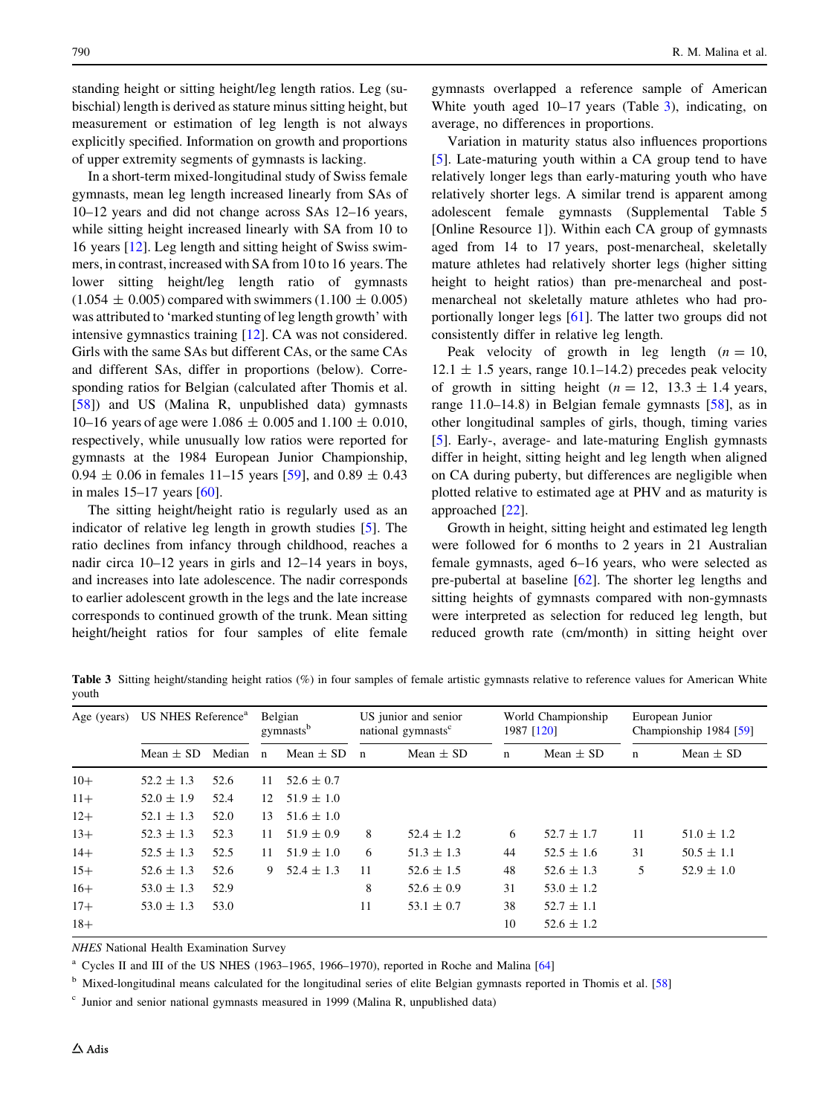standing height or sitting height/leg length ratios. Leg (subischial) length is derived as stature minus sitting height, but measurement or estimation of leg length is not always explicitly specified. Information on growth and proportions of upper extremity segments of gymnasts is lacking.

In a short-term mixed-longitudinal study of Swiss female gymnasts, mean leg length increased linearly from SAs of 10–12 years and did not change across SAs 12–16 years, while sitting height increased linearly with SA from 10 to 16 years [\[12](#page-16-0)]. Leg length and sitting height of Swiss swimmers, in contrast, increased with SA from 10 to 16 years. The lower sitting height/leg length ratio of gymnasts  $(1.054 \pm 0.005)$  compared with swimmers  $(1.100 \pm 0.005)$ was attributed to 'marked stunting of leg length growth' with intensive gymnastics training [[12\]](#page-16-0). CA was not considered. Girls with the same SAs but different CAs, or the same CAs and different SAs, differ in proportions (below). Corresponding ratios for Belgian (calculated after Thomis et al. [\[58](#page-17-0)]) and US (Malina R, unpublished data) gymnasts 10–16 years of age were 1.086  $\pm$  0.005 and 1.100  $\pm$  0.010, respectively, while unusually low ratios were reported for gymnasts at the 1984 European Junior Championship,  $0.94 \pm 0.06$  in females 11–15 years [[59\]](#page-17-0), and  $0.89 \pm 0.43$ in males  $15-17$  years  $[60]$  $[60]$ .

The sitting height/height ratio is regularly used as an indicator of relative leg length in growth studies [\[5](#page-16-0)]. The ratio declines from infancy through childhood, reaches a nadir circa 10–12 years in girls and 12–14 years in boys, and increases into late adolescence. The nadir corresponds to earlier adolescent growth in the legs and the late increase corresponds to continued growth of the trunk. Mean sitting height/height ratios for four samples of elite female gymnasts overlapped a reference sample of American White youth aged 10–17 years (Table 3), indicating, on average, no differences in proportions.

Variation in maturity status also influences proportions [\[5](#page-16-0)]. Late-maturing youth within a CA group tend to have relatively longer legs than early-maturing youth who have relatively shorter legs. A similar trend is apparent among adolescent female gymnasts (Supplemental Table 5 [Online Resource 1]). Within each CA group of gymnasts aged from 14 to 17 years, post-menarcheal, skeletally mature athletes had relatively shorter legs (higher sitting height to height ratios) than pre-menarcheal and postmenarcheal not skeletally mature athletes who had proportionally longer legs [[61\]](#page-17-0). The latter two groups did not consistently differ in relative leg length.

Peak velocity of growth in leg length  $(n = 10)$ ,  $12.1 \pm 1.5$  years, range 10.1–14.2) precedes peak velocity of growth in sitting height ( $n = 12$ ,  $13.3 \pm 1.4$  years, range 11.0–14.8) in Belgian female gymnasts [\[58\]](#page-17-0), as in other longitudinal samples of girls, though, timing varies [\[5](#page-16-0)]. Early-, average- and late-maturing English gymnasts differ in height, sitting height and leg length when aligned on CA during puberty, but differences are negligible when plotted relative to estimated age at PHV and as maturity is approached [[22\]](#page-16-0).

Growth in height, sitting height and estimated leg length were followed for 6 months to 2 years in 21 Australian female gymnasts, aged 6–16 years, who were selected as pre-pubertal at baseline [\[62](#page-17-0)]. The shorter leg lengths and sitting heights of gymnasts compared with non-gymnasts were interpreted as selection for reduced leg length, but reduced growth rate (cm/month) in sitting height over

Table 3 Sitting height/standing height ratios (%) in four samples of female artistic gymnasts relative to reference values for American White youth

| Age (years) | US NHES Reference <sup>a</sup> |          | Belgian<br>gymnasts <sup>b</sup> |                | US junior and senior<br>national gymnasts <sup>c</sup> |                | World Championship<br>1987 [120] |                | European Junior<br>Championship 1984 [59] |                |
|-------------|--------------------------------|----------|----------------------------------|----------------|--------------------------------------------------------|----------------|----------------------------------|----------------|-------------------------------------------|----------------|
|             | Mean $\pm$ SD                  | Median n |                                  | Mean $\pm$ SD  | $\mathbf n$                                            | Mean $\pm$ SD  | n                                | Mean $\pm$ SD  | n                                         | Mean $\pm$ SD  |
| $10+$       | $52.2 \pm 1.3$                 | 52.6     | 11                               | $52.6 \pm 0.7$ |                                                        |                |                                  |                |                                           |                |
| $11+$       | $52.0 \pm 1.9$                 | 52.4     | 12                               | $51.9 \pm 1.0$ |                                                        |                |                                  |                |                                           |                |
| $12+$       | $52.1 \pm 1.3$                 | 52.0     | 13                               | $51.6 \pm 1.0$ |                                                        |                |                                  |                |                                           |                |
| $13+$       | $52.3 \pm 1.3$                 | 52.3     | 11                               | $51.9 \pm 0.9$ | 8                                                      | $52.4 \pm 1.2$ | 6                                | $52.7 \pm 1.7$ | 11                                        | $51.0 \pm 1.2$ |
| $14+$       | $52.5 \pm 1.3$                 | 52.5     | 11                               | $51.9 \pm 1.0$ | 6                                                      | $51.3 \pm 1.3$ | 44                               | $52.5 \pm 1.6$ | 31                                        | $50.5 \pm 1.1$ |
| $15+$       | $52.6 \pm 1.3$                 | 52.6     | 9                                | $52.4 \pm 1.3$ | 11                                                     | $52.6 \pm 1.5$ | 48                               | $52.6 \pm 1.3$ | 5                                         | $52.9 \pm 1.0$ |
| $16+$       | $53.0 \pm 1.3$                 | 52.9     |                                  |                | 8                                                      | $52.6 \pm 0.9$ | 31                               | $53.0 \pm 1.2$ |                                           |                |
| $17+$       | $53.0 \pm 1.3$                 | 53.0     |                                  |                | 11                                                     | $53.1 \pm 0.7$ | 38                               | $52.7 \pm 1.1$ |                                           |                |
| $18+$       |                                |          |                                  |                |                                                        |                | 10                               | $52.6 \pm 1.2$ |                                           |                |

NHES National Health Examination Survey

<sup>a</sup> Cycles II and III of the US NHES (1963–1965, 1966–1970), reported in Roche and Malina [\[64\]](#page-17-0)

<sup>b</sup> Mixed-longitudinal means calculated for the longitudinal series of elite Belgian gymnasts reported in Thomis et al. [\[58\]](#page-17-0)

<sup>c</sup> Junior and senior national gymnasts measured in 1999 (Malina R, unpublished data)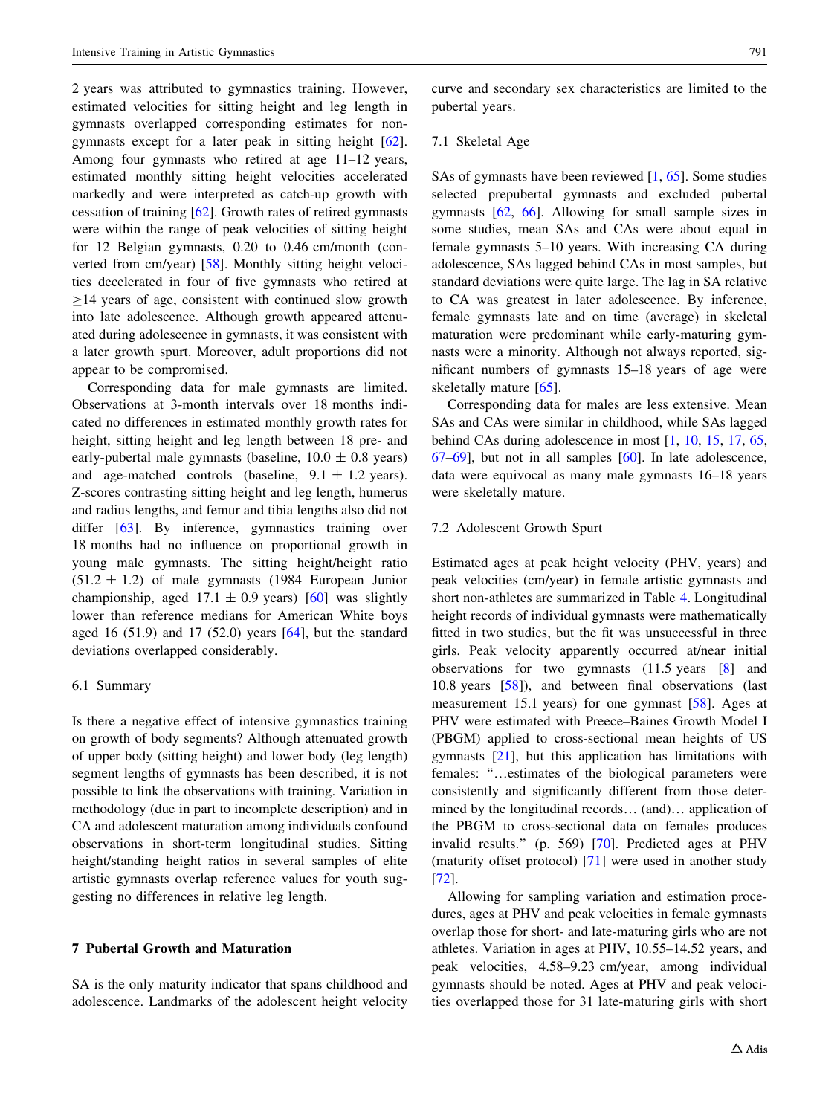2 years was attributed to gymnastics training. However, estimated velocities for sitting height and leg length in gymnasts overlapped corresponding estimates for nongymnasts except for a later peak in sitting height [\[62](#page-17-0)]. Among four gymnasts who retired at age 11–12 years, estimated monthly sitting height velocities accelerated markedly and were interpreted as catch-up growth with cessation of training [[62](#page-17-0)]. Growth rates of retired gymnasts were within the range of peak velocities of sitting height for 12 Belgian gymnasts, 0.20 to 0.46 cm/month (converted from cm/year) [[58\]](#page-17-0). Monthly sitting height velocities decelerated in four of five gymnasts who retired at  $\geq$ 14 years of age, consistent with continued slow growth into late adolescence. Although growth appeared attenuated during adolescence in gymnasts, it was consistent with a later growth spurt. Moreover, adult proportions did not appear to be compromised.

Corresponding data for male gymnasts are limited. Observations at 3-month intervals over 18 months indicated no differences in estimated monthly growth rates for height, sitting height and leg length between 18 pre- and early-pubertal male gymnasts (baseline,  $10.0 \pm 0.8$  years) and age-matched controls (baseline,  $9.1 \pm 1.2$  years). Z-scores contrasting sitting height and leg length, humerus and radius lengths, and femur and tibia lengths also did not differ [\[63](#page-17-0)]. By inference, gymnastics training over 18 months had no influence on proportional growth in young male gymnasts. The sitting height/height ratio  $(51.2 \pm 1.2)$  of male gymnasts (1984 European Junior championship, aged  $17.1 \pm 0.9$  years) [[60\]](#page-17-0) was slightly lower than reference medians for American White boys aged 16  $(51.9)$  and 17  $(52.0)$  years  $[64]$  $[64]$ , but the standard deviations overlapped considerably.

## 6.1 Summary

Is there a negative effect of intensive gymnastics training on growth of body segments? Although attenuated growth of upper body (sitting height) and lower body (leg length) segment lengths of gymnasts has been described, it is not possible to link the observations with training. Variation in methodology (due in part to incomplete description) and in CA and adolescent maturation among individuals confound observations in short-term longitudinal studies. Sitting height/standing height ratios in several samples of elite artistic gymnasts overlap reference values for youth suggesting no differences in relative leg length.

# 7 Pubertal Growth and Maturation

SA is the only maturity indicator that spans childhood and adolescence. Landmarks of the adolescent height velocity curve and secondary sex characteristics are limited to the pubertal years.

#### 7.1 Skeletal Age

SAs of gymnasts have been reviewed [[1](#page-16-0), [65\]](#page-17-0). Some studies selected prepubertal gymnasts and excluded pubertal gymnasts [\[62](#page-17-0), [66](#page-17-0)]. Allowing for small sample sizes in some studies, mean SAs and CAs were about equal in female gymnasts 5–10 years. With increasing CA during adolescence, SAs lagged behind CAs in most samples, but standard deviations were quite large. The lag in SA relative to CA was greatest in later adolescence. By inference, female gymnasts late and on time (average) in skeletal maturation were predominant while early-maturing gymnasts were a minority. Although not always reported, significant numbers of gymnasts 15–18 years of age were skeletally mature [\[65](#page-17-0)].

Corresponding data for males are less extensive. Mean SAs and CAs were similar in childhood, while SAs lagged behind CAs during adolescence in most [[1,](#page-16-0) [10](#page-16-0), [15,](#page-16-0) [17](#page-16-0), [65,](#page-17-0) [67](#page-17-0)[–69](#page-18-0)], but not in all samples [[60\]](#page-17-0). In late adolescence, data were equivocal as many male gymnasts 16–18 years were skeletally mature.

## 7.2 Adolescent Growth Spurt

Estimated ages at peak height velocity (PHV, years) and peak velocities (cm/year) in female artistic gymnasts and short non-athletes are summarized in Table [4.](#page-9-0) Longitudinal height records of individual gymnasts were mathematically fitted in two studies, but the fit was unsuccessful in three girls. Peak velocity apparently occurred at/near initial observations for two gymnasts (11.5 years [[8\]](#page-16-0) and 10.8 years [\[58](#page-17-0)]), and between final observations (last measurement 15.1 years) for one gymnast [\[58](#page-17-0)]. Ages at PHV were estimated with Preece–Baines Growth Model I (PBGM) applied to cross-sectional mean heights of US gymnasts [\[21](#page-16-0)], but this application has limitations with females: "...estimates of the biological parameters were consistently and significantly different from those determined by the longitudinal records… (and)… application of the PBGM to cross-sectional data on females produces invalid results.'' (p. 569) [\[70](#page-18-0)]. Predicted ages at PHV (maturity offset protocol) [[71\]](#page-18-0) were used in another study [\[72](#page-18-0)].

Allowing for sampling variation and estimation procedures, ages at PHV and peak velocities in female gymnasts overlap those for short- and late-maturing girls who are not athletes. Variation in ages at PHV, 10.55–14.52 years, and peak velocities, 4.58–9.23 cm/year, among individual gymnasts should be noted. Ages at PHV and peak velocities overlapped those for 31 late-maturing girls with short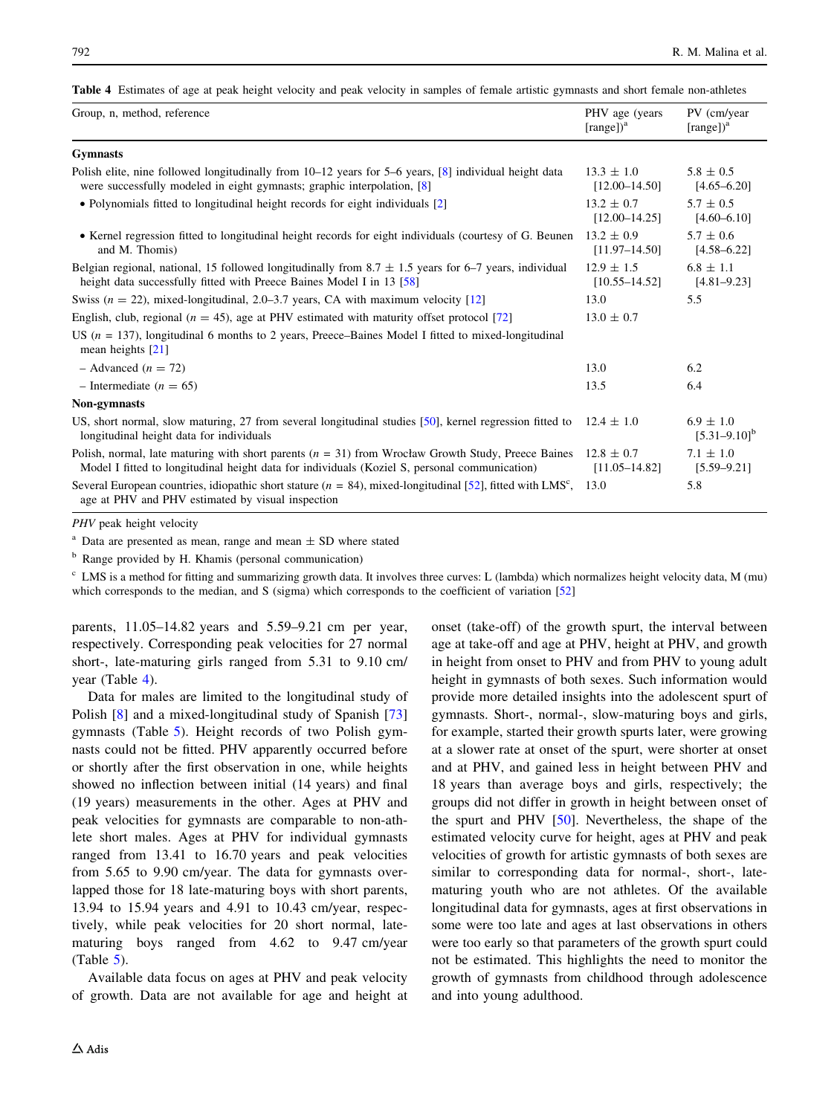<span id="page-9-0"></span>Table 4 Estimates of age at peak height velocity and peak velocity in samples of female artistic gymnasts and short female non-athletes

| Group, n, method, reference                                                                                                                                                                           | PHV age (years)<br>$[\text{range}]$ <sup>a</sup> | PV (cm/year)<br>$[\text{range}]$ <sup>a</sup> |
|-------------------------------------------------------------------------------------------------------------------------------------------------------------------------------------------------------|--------------------------------------------------|-----------------------------------------------|
| <b>Gymnasts</b>                                                                                                                                                                                       |                                                  |                                               |
| Polish elite, nine followed longitudinally from $10-12$ years for 5-6 years, [8] individual height data<br>were successfully modeled in eight gymnasts; graphic interpolation, [8]                    | $13.3 \pm 1.0$<br>$[12.00 - 14.50]$              | $5.8 \pm 0.5$<br>$[4.65 - 6.20]$              |
| • Polynomials fitted to longitudinal height records for eight individuals [2]                                                                                                                         | $13.2 \pm 0.7$<br>$[12.00 - 14.25]$              | $5.7 \pm 0.5$<br>$[4.60 - 6.10]$              |
| • Kernel regression fitted to longitudinal height records for eight individuals (courtesy of G. Beunen)<br>and M. Thomis)                                                                             | $13.2 \pm 0.9$<br>$[11.97 - 14.50]$              | $5.7 \pm 0.6$<br>$[4.58 - 6.22]$              |
| Belgian regional, national, 15 followed longitudinally from 8.7 $\pm$ 1.5 years for 6–7 years, individual<br>height data successfully fitted with Preece Baines Model I in 13 [58]                    | $12.9 \pm 1.5$<br>$[10.55 - 14.52]$              | $6.8 \pm 1.1$<br>$[4.81 - 9.23]$              |
| Swiss ( $n = 22$ ), mixed-longitudinal, 2.0–3.7 years, CA with maximum velocity [12]                                                                                                                  | 13.0                                             | 5.5                                           |
| English, club, regional ( $n = 45$ ), age at PHV estimated with maturity offset protocol [72]                                                                                                         | $13.0 \pm 0.7$                                   |                                               |
| US ( $n = 137$ ), longitudinal 6 months to 2 years, Preece-Baines Model I fitted to mixed-longitudinal<br>mean heights $[21]$                                                                         |                                                  |                                               |
| - Advanced $(n = 72)$                                                                                                                                                                                 | 13.0                                             | 6.2                                           |
| - Intermediate $(n = 65)$                                                                                                                                                                             | 13.5                                             | 6.4                                           |
| Non-gymnasts                                                                                                                                                                                          |                                                  |                                               |
| US, short normal, slow maturing, 27 from several longitudinal studies [50], kernel regression fitted to<br>longitudinal height data for individuals                                                   | $12.4 \pm 1.0$                                   | $6.9 \pm 1.0$<br>$[5.31 - 9.10]^{b}$          |
| Polish, normal, late maturing with short parents $(n = 31)$ from Wrocław Growth Study, Preece Baines<br>Model I fitted to longitudinal height data for individuals (Koziel S, personal communication) | $12.8 \pm 0.7$<br>$[11.05 - 14.82]$              | $7.1 \pm 1.0$<br>$[5.59 - 9.21]$              |
| Several European countries, idiopathic short stature ( $n = 84$ ), mixed-longitudinal [52], fitted with LMS <sup>c</sup> ,<br>age at PHV and PHV estimated by visual inspection                       | 13.0                                             | 5.8                                           |

PHV peak height velocity

<sup>a</sup> Data are presented as mean, range and mean  $\pm$  SD where stated

<sup>b</sup> Range provided by H. Khamis (personal communication)

<sup>c</sup> LMS is a method for fitting and summarizing growth data. It involves three curves: L (lambda) which normalizes height velocity data, M (mu) which corresponds to the median, and S (sigma) which corresponds to the coefficient of variation [[52](#page-17-0)]

parents, 11.05–14.82 years and 5.59–9.21 cm per year, respectively. Corresponding peak velocities for 27 normal short-, late-maturing girls ranged from 5.31 to 9.10 cm/ year (Table 4).

Data for males are limited to the longitudinal study of Polish [[8\]](#page-16-0) and a mixed-longitudinal study of Spanish [[73\]](#page-18-0) gymnasts (Table [5](#page-10-0)). Height records of two Polish gymnasts could not be fitted. PHV apparently occurred before or shortly after the first observation in one, while heights showed no inflection between initial (14 years) and final (19 years) measurements in the other. Ages at PHV and peak velocities for gymnasts are comparable to non-athlete short males. Ages at PHV for individual gymnasts ranged from 13.41 to 16.70 years and peak velocities from 5.65 to 9.90 cm/year. The data for gymnasts overlapped those for 18 late-maturing boys with short parents, 13.94 to 15.94 years and 4.91 to 10.43 cm/year, respectively, while peak velocities for 20 short normal, latematuring boys ranged from 4.62 to 9.47 cm/year (Table [5](#page-10-0)).

Available data focus on ages at PHV and peak velocity of growth. Data are not available for age and height at in height from onset to PHV and from PHV to young adult height in gymnasts of both sexes. Such information would provide more detailed insights into the adolescent spurt of gymnasts. Short-, normal-, slow-maturing boys and girls, for example, started their growth spurts later, were growing at a slower rate at onset of the spurt, were shorter at onset and at PHV, and gained less in height between PHV and 18 years than average boys and girls, respectively; the groups did not differ in growth in height between onset of the spurt and PHV [[50\]](#page-17-0). Nevertheless, the shape of the estimated velocity curve for height, ages at PHV and peak velocities of growth for artistic gymnasts of both sexes are similar to corresponding data for normal-, short-, latematuring youth who are not athletes. Of the available longitudinal data for gymnasts, ages at first observations in some were too late and ages at last observations in others were too early so that parameters of the growth spurt could not be estimated. This highlights the need to monitor the growth of gymnasts from childhood through adolescence and into young adulthood.

onset (take-off) of the growth spurt, the interval between age at take-off and age at PHV, height at PHV, and growth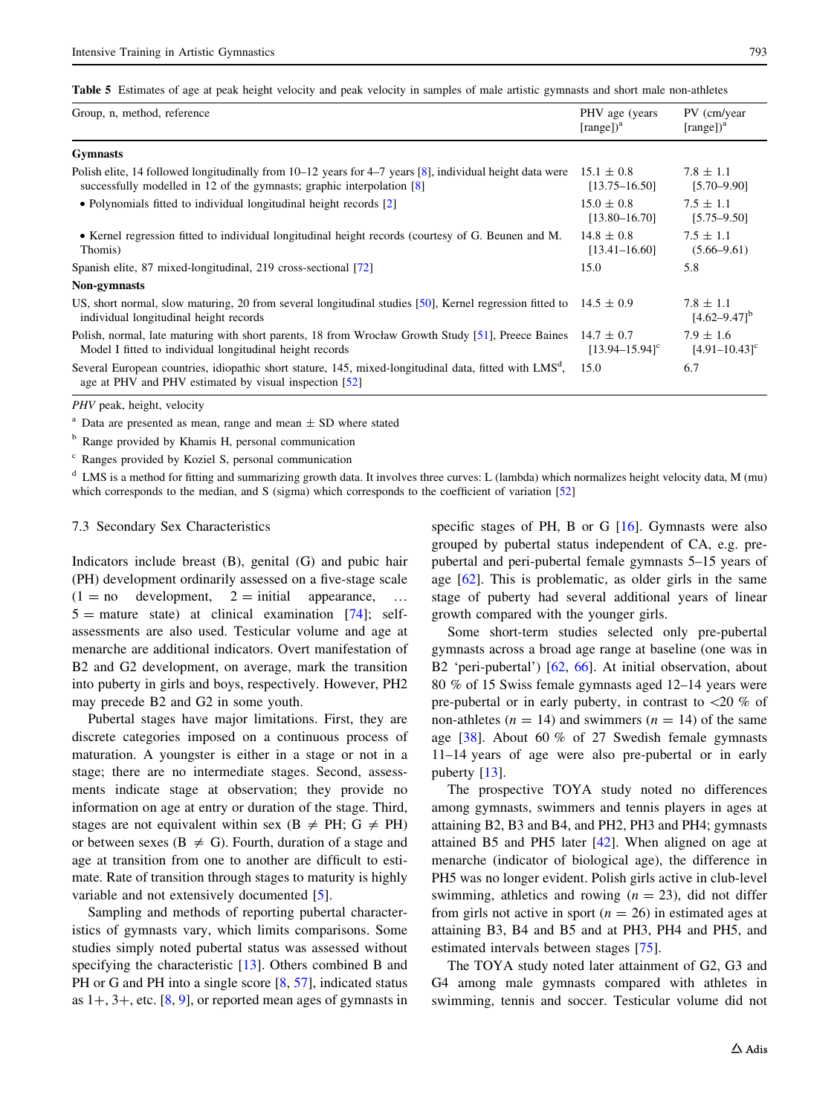<span id="page-10-0"></span>Table 5 Estimates of age at peak height velocity and peak velocity in samples of male artistic gymnasts and short male non-athletes

| Group, n, method, reference                                                                                                                                                              | PHV age (years)<br>$[\text{range}]$ <sup>a</sup> | PV (cm/year)<br>$[\text{range}]$ <sup>a</sup>  |
|------------------------------------------------------------------------------------------------------------------------------------------------------------------------------------------|--------------------------------------------------|------------------------------------------------|
| <b>Gymnasts</b>                                                                                                                                                                          |                                                  |                                                |
| Polish elite, 14 followed longitudinally from $10-12$ years for $4-7$ years [8], individual height data were<br>successfully modelled in 12 of the gymnasts; graphic interpolation $[8]$ | $15.1 \pm 0.8$<br>$[13.75 - 16.50]$              | $7.8 \pm 1.1$<br>$[5.70 - 9.90]$               |
| • Polynomials fitted to individual longitudinal height records [2]                                                                                                                       | $15.0 \pm 0.8$<br>$[13.80 - 16.70]$              | $7.5 \pm 1.1$<br>$[5.75 - 9.50]$               |
| • Kernel regression fitted to individual longitudinal height records (courtesy of G. Beunen and M.<br>Thomis)                                                                            | $14.8 \pm 0.8$<br>$[13.41 - 16.60]$              | $7.5 \pm 1.1$<br>$(5.66 - 9.61)$               |
| Spanish elite, 87 mixed-longitudinal, 219 cross-sectional [72]                                                                                                                           | 15.0                                             | 5.8                                            |
| Non-gymnasts                                                                                                                                                                             |                                                  |                                                |
| US, short normal, slow maturing, 20 from several longitudinal studies [50], Kernel regression fitted to $14.5 \pm 0.9$<br>individual longitudinal height records                         |                                                  | $7.8 \pm 1.1$<br>$[4.62 - 9.47]$ <sup>b</sup>  |
| Polish, normal, late maturing with short parents, 18 from Wrocław Growth Study [51], Preece Baines<br>Model I fitted to individual longitudinal height records                           | $14.7 \pm 0.7$<br>$[13.94 - 15.94]$ <sup>c</sup> | $7.9 \pm 1.6$<br>$[4.91 - 10.43]$ <sup>c</sup> |
| Several European countries, idiopathic short stature, 145, mixed-longitudinal data, fitted with $LMSd$ ,<br>age at PHV and PHV estimated by visual inspection [52]                       | 15.0                                             | 6.7                                            |

PHV peak, height, velocity

<sup>a</sup> Data are presented as mean, range and mean  $\pm$  SD where stated

<sup>b</sup> Range provided by Khamis H, personal communication

<sup>c</sup> Ranges provided by Koziel S, personal communication

 $<sup>d</sup>$  LMS is a method for fitting and summarizing growth data. It involves three curves: L (lambda) which normalizes height velocity data, M (mu)</sup> which corresponds to the median, and S (sigma) which corresponds to the coefficient of variation [[52](#page-17-0)]

## 7.3 Secondary Sex Characteristics

Indicators include breast (B), genital (G) and pubic hair (PH) development ordinarily assessed on a five-stage scale  $(1 = no$  development,  $2 = initial$  appearance,  $5 =$  mature state) at clinical examination [[74\]](#page-18-0); selfassessments are also used. Testicular volume and age at menarche are additional indicators. Overt manifestation of B2 and G2 development, on average, mark the transition into puberty in girls and boys, respectively. However, PH2 may precede B2 and G2 in some youth.

Pubertal stages have major limitations. First, they are discrete categories imposed on a continuous process of maturation. A youngster is either in a stage or not in a stage; there are no intermediate stages. Second, assessments indicate stage at observation; they provide no information on age at entry or duration of the stage. Third, stages are not equivalent within sex ( $B \neq PH$ ;  $G \neq PH$ ) or between sexes ( $B \neq G$ ). Fourth, duration of a stage and age at transition from one to another are difficult to estimate. Rate of transition through stages to maturity is highly variable and not extensively documented [\[5](#page-16-0)].

Sampling and methods of reporting pubertal characteristics of gymnasts vary, which limits comparisons. Some studies simply noted pubertal status was assessed without specifying the characteristic [\[13](#page-16-0)]. Others combined B and PH or G and PH into a single score [\[8](#page-16-0), [57](#page-17-0)], indicated status as  $1+, 3+,$  etc.  $[8, 9]$  $[8, 9]$  $[8, 9]$  $[8, 9]$ , or reported mean ages of gymnasts in specific stages of PH, B or G  $[16]$  $[16]$ . Gymnasts were also grouped by pubertal status independent of CA, e.g. prepubertal and peri-pubertal female gymnasts 5–15 years of age [[62\]](#page-17-0). This is problematic, as older girls in the same stage of puberty had several additional years of linear growth compared with the younger girls.

Some short-term studies selected only pre-pubertal gymnasts across a broad age range at baseline (one was in B2 'peri-pubertal') [[62,](#page-17-0) [66](#page-17-0)]. At initial observation, about 80 % of 15 Swiss female gymnasts aged 12–14 years were pre-pubertal or in early puberty, in contrast to  $\langle 20 \, \% \rangle$  of non-athletes ( $n = 14$ ) and swimmers ( $n = 14$ ) of the same age [[38\]](#page-17-0). About 60 % of 27 Swedish female gymnasts 11–14 years of age were also pre-pubertal or in early puberty [\[13](#page-16-0)].

The prospective TOYA study noted no differences among gymnasts, swimmers and tennis players in ages at attaining B2, B3 and B4, and PH2, PH3 and PH4; gymnasts attained B5 and PH5 later [\[42](#page-17-0)]. When aligned on age at menarche (indicator of biological age), the difference in PH5 was no longer evident. Polish girls active in club-level swimming, athletics and rowing  $(n = 23)$ , did not differ from girls not active in sport ( $n = 26$ ) in estimated ages at attaining B3, B4 and B5 and at PH3, PH4 and PH5, and estimated intervals between stages [[75\]](#page-18-0).

The TOYA study noted later attainment of G2, G3 and G4 among male gymnasts compared with athletes in swimming, tennis and soccer. Testicular volume did not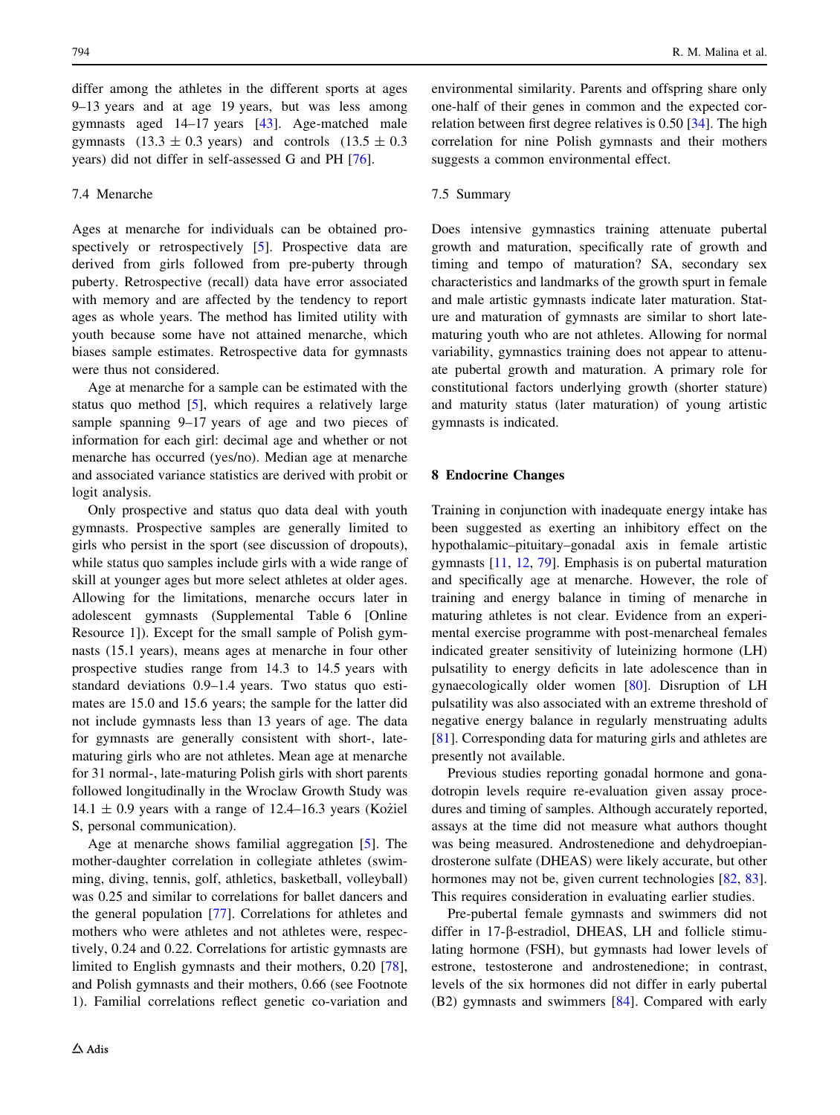differ among the athletes in the different sports at ages 9–13 years and at age 19 years, but was less among gymnasts aged 14–17 years [\[43](#page-17-0)]. Age-matched male gymnasts  $(13.3 \pm 0.3 \text{ years})$  and controls  $(13.5 \pm 0.3 \text{ years})$ years) did not differ in self-assessed G and PH [\[76](#page-18-0)].

# 7.4 Menarche

Ages at menarche for individuals can be obtained pro-spectively or retrospectively [[5\]](#page-16-0). Prospective data are derived from girls followed from pre-puberty through puberty. Retrospective (recall) data have error associated with memory and are affected by the tendency to report ages as whole years. The method has limited utility with youth because some have not attained menarche, which biases sample estimates. Retrospective data for gymnasts were thus not considered.

Age at menarche for a sample can be estimated with the status quo method [\[5\]](#page-16-0), which requires a relatively large sample spanning 9–17 years of age and two pieces of information for each girl: decimal age and whether or not menarche has occurred (yes/no). Median age at menarche and associated variance statistics are derived with probit or logit analysis.

Only prospective and status quo data deal with youth gymnasts. Prospective samples are generally limited to girls who persist in the sport (see discussion of dropouts), while status quo samples include girls with a wide range of skill at younger ages but more select athletes at older ages. Allowing for the limitations, menarche occurs later in adolescent gymnasts (Supplemental Table 6 [Online Resource 1]). Except for the small sample of Polish gymnasts (15.1 years), means ages at menarche in four other prospective studies range from 14.3 to 14.5 years with standard deviations 0.9–1.4 years. Two status quo estimates are 15.0 and 15.6 years; the sample for the latter did not include gymnasts less than 13 years of age. The data for gymnasts are generally consistent with short-, latematuring girls who are not athletes. Mean age at menarche for 31 normal-, late-maturing Polish girls with short parents followed longitudinally in the Wroclaw Growth Study was 14.1  $\pm$  0.9 years with a range of 12.4–16.3 years (Koziel S, personal communication).

Age at menarche shows familial aggregation [\[5](#page-16-0)]. The mother-daughter correlation in collegiate athletes (swimming, diving, tennis, golf, athletics, basketball, volleyball) was 0.25 and similar to correlations for ballet dancers and the general population [\[77](#page-18-0)]. Correlations for athletes and mothers who were athletes and not athletes were, respectively, 0.24 and 0.22. Correlations for artistic gymnasts are limited to English gymnasts and their mothers, 0.20 [\[78](#page-18-0)], and Polish gymnasts and their mothers, 0.66 (see Footnote 1). Familial correlations reflect genetic co-variation and environmental similarity. Parents and offspring share only one-half of their genes in common and the expected correlation between first degree relatives is 0.50 [\[34](#page-17-0)]. The high correlation for nine Polish gymnasts and their mothers suggests a common environmental effect.

## 7.5 Summary

Does intensive gymnastics training attenuate pubertal growth and maturation, specifically rate of growth and timing and tempo of maturation? SA, secondary sex characteristics and landmarks of the growth spurt in female and male artistic gymnasts indicate later maturation. Stature and maturation of gymnasts are similar to short latematuring youth who are not athletes. Allowing for normal variability, gymnastics training does not appear to attenuate pubertal growth and maturation. A primary role for constitutional factors underlying growth (shorter stature) and maturity status (later maturation) of young artistic gymnasts is indicated.

## 8 Endocrine Changes

Training in conjunction with inadequate energy intake has been suggested as exerting an inhibitory effect on the hypothalamic–pituitary–gonadal axis in female artistic gymnasts [\[11](#page-16-0), [12,](#page-16-0) [79](#page-18-0)]. Emphasis is on pubertal maturation and specifically age at menarche. However, the role of training and energy balance in timing of menarche in maturing athletes is not clear. Evidence from an experimental exercise programme with post-menarcheal females indicated greater sensitivity of luteinizing hormone (LH) pulsatility to energy deficits in late adolescence than in gynaecologically older women [\[80](#page-18-0)]. Disruption of LH pulsatility was also associated with an extreme threshold of negative energy balance in regularly menstruating adults [\[81](#page-18-0)]. Corresponding data for maturing girls and athletes are presently not available.

Previous studies reporting gonadal hormone and gonadotropin levels require re-evaluation given assay procedures and timing of samples. Although accurately reported, assays at the time did not measure what authors thought was being measured. Androstenedione and dehydroepiandrosterone sulfate (DHEAS) were likely accurate, but other hormones may not be, given current technologies [[82,](#page-18-0) [83](#page-18-0)]. This requires consideration in evaluating earlier studies.

Pre-pubertal female gymnasts and swimmers did not differ in 17- $\beta$ -estradiol, DHEAS, LH and follicle stimulating hormone (FSH), but gymnasts had lower levels of estrone, testosterone and androstenedione; in contrast, levels of the six hormones did not differ in early pubertal (B2) gymnasts and swimmers [[84\]](#page-18-0). Compared with early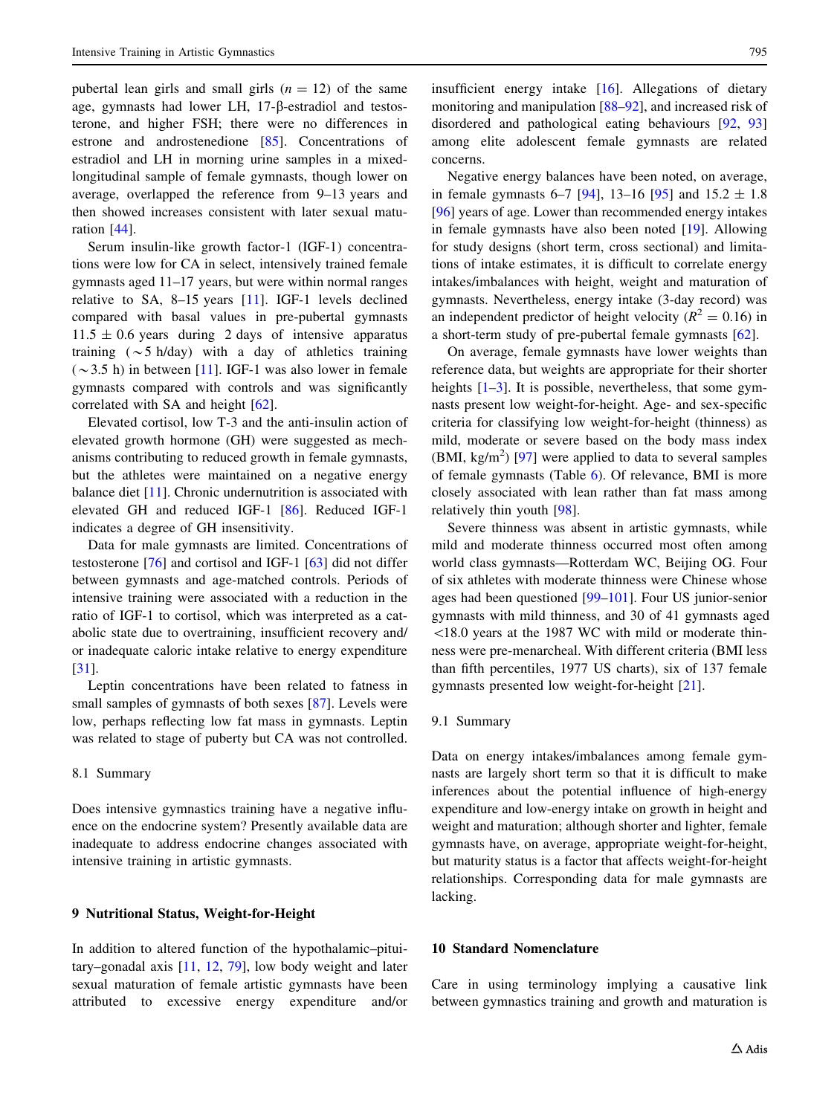pubertal lean girls and small girls  $(n = 12)$  of the same age, gymnasts had lower LH,  $17-\beta$ -estradiol and testosterone, and higher FSH; there were no differences in estrone and androstenedione [[85\]](#page-18-0). Concentrations of estradiol and LH in morning urine samples in a mixedlongitudinal sample of female gymnasts, though lower on average, overlapped the reference from 9–13 years and then showed increases consistent with later sexual maturation [\[44](#page-17-0)].

Serum insulin-like growth factor-1 (IGF-1) concentrations were low for CA in select, intensively trained female gymnasts aged 11–17 years, but were within normal ranges relative to SA, 8–15 years [[11\]](#page-16-0). IGF-1 levels declined compared with basal values in pre-pubertal gymnasts  $11.5 \pm 0.6$  years during 2 days of intensive apparatus training  $({\sim}5 \text{ h/day})$  with a day of athletics training  $(\sim 3.5 \text{ h})$  in between [[11\]](#page-16-0). IGF-1 was also lower in female gymnasts compared with controls and was significantly correlated with SA and height [\[62](#page-17-0)].

Elevated cortisol, low T-3 and the anti-insulin action of elevated growth hormone (GH) were suggested as mechanisms contributing to reduced growth in female gymnasts, but the athletes were maintained on a negative energy balance diet [\[11](#page-16-0)]. Chronic undernutrition is associated with elevated GH and reduced IGF-1 [\[86](#page-18-0)]. Reduced IGF-1 indicates a degree of GH insensitivity.

Data for male gymnasts are limited. Concentrations of testosterone [\[76](#page-18-0)] and cortisol and IGF-1 [\[63](#page-17-0)] did not differ between gymnasts and age-matched controls. Periods of intensive training were associated with a reduction in the ratio of IGF-1 to cortisol, which was interpreted as a catabolic state due to overtraining, insufficient recovery and/ or inadequate caloric intake relative to energy expenditure [\[31](#page-17-0)].

Leptin concentrations have been related to fatness in small samples of gymnasts of both sexes [[87\]](#page-18-0). Levels were low, perhaps reflecting low fat mass in gymnasts. Leptin was related to stage of puberty but CA was not controlled.

## 8.1 Summary

Does intensive gymnastics training have a negative influence on the endocrine system? Presently available data are inadequate to address endocrine changes associated with intensive training in artistic gymnasts.

## 9 Nutritional Status, Weight-for-Height

In addition to altered function of the hypothalamic–pituitary–gonadal axis [[11,](#page-16-0) [12,](#page-16-0) [79](#page-18-0)], low body weight and later sexual maturation of female artistic gymnasts have been attributed to excessive energy expenditure and/or insufficient energy intake [\[16](#page-16-0)]. Allegations of dietary monitoring and manipulation [\[88–92](#page-18-0)], and increased risk of disordered and pathological eating behaviours [[92,](#page-18-0) [93\]](#page-18-0) among elite adolescent female gymnasts are related concerns.

Negative energy balances have been noted, on average, in female gymnasts 6–7 [[94\]](#page-18-0), 13–16 [\[95](#page-18-0)] and  $15.2 \pm 1.8$ [\[96](#page-18-0)] years of age. Lower than recommended energy intakes in female gymnasts have also been noted [[19\]](#page-16-0). Allowing for study designs (short term, cross sectional) and limitations of intake estimates, it is difficult to correlate energy intakes/imbalances with height, weight and maturation of gymnasts. Nevertheless, energy intake (3-day record) was an independent predictor of height velocity ( $R^2 = 0.16$ ) in a short-term study of pre-pubertal female gymnasts [[62\]](#page-17-0).

On average, female gymnasts have lower weights than reference data, but weights are appropriate for their shorter heights [[1–3\]](#page-16-0). It is possible, nevertheless, that some gymnasts present low weight-for-height. Age- and sex-specific criteria for classifying low weight-for-height (thinness) as mild, moderate or severe based on the body mass index  $(BMI, kg/m<sup>2</sup>)$  [[97\]](#page-18-0) were applied to data to several samples of female gymnasts (Table [6](#page-13-0)). Of relevance, BMI is more closely associated with lean rather than fat mass among relatively thin youth [[98\]](#page-18-0).

Severe thinness was absent in artistic gymnasts, while mild and moderate thinness occurred most often among world class gymnasts—Rotterdam WC, Beijing OG. Four of six athletes with moderate thinness were Chinese whose ages had been questioned [\[99–101](#page-18-0)]. Four US junior-senior gymnasts with mild thinness, and 30 of 41 gymnasts aged  $<$ 18.0 years at the 1987 WC with mild or moderate thinness were pre-menarcheal. With different criteria (BMI less than fifth percentiles, 1977 US charts), six of 137 female gymnasts presented low weight-for-height [\[21](#page-16-0)].

## 9.1 Summary

Data on energy intakes/imbalances among female gymnasts are largely short term so that it is difficult to make inferences about the potential influence of high-energy expenditure and low-energy intake on growth in height and weight and maturation; although shorter and lighter, female gymnasts have, on average, appropriate weight-for-height, but maturity status is a factor that affects weight-for-height relationships. Corresponding data for male gymnasts are lacking.

#### 10 Standard Nomenclature

Care in using terminology implying a causative link between gymnastics training and growth and maturation is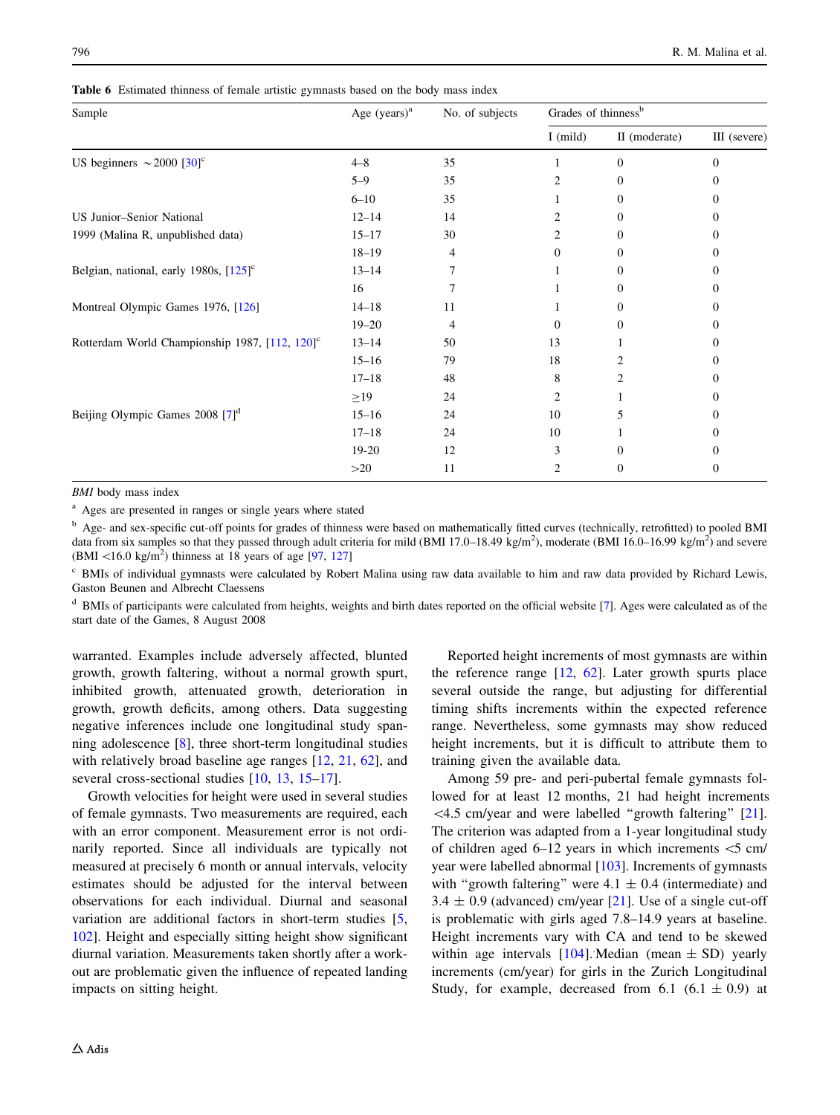| Sample                                                     | Age $(years)^a$ | No. of subjects | Grades of thinness <sup>b</sup> |               |              |
|------------------------------------------------------------|-----------------|-----------------|---------------------------------|---------------|--------------|
|                                                            |                 |                 | I $(mild)$                      | II (moderate) | III (severe) |
| US beginners $\sim$ 2000 [30] <sup>c</sup>                 | $4 - 8$         | 35              |                                 | $\Omega$      | $\Omega$     |
|                                                            | $5 - 9$         | 35              | 2                               | 0             | 0            |
|                                                            | $6 - 10$        | 35              |                                 | $\theta$      | $\Omega$     |
| <b>US Junior-Senior National</b>                           | $12 - 14$       | 14              | 2                               | 0             | $\mathbf{0}$ |
| 1999 (Malina R, unpublished data)                          | $15 - 17$       | 30              | 2                               | 0             | $\mathbf{0}$ |
|                                                            | $18 - 19$       | 4               | $\Omega$                        | 0             | $\mathbf{0}$ |
| Belgian, national, early 1980s, [125] <sup>c</sup>         | $13 - 14$       |                 |                                 | 0             | $\mathbf{0}$ |
|                                                            | 16              |                 |                                 | 0             | $\Omega$     |
| Montreal Olympic Games 1976, [126]                         | $14 - 18$       | 11              |                                 | 0             | $\mathbf{0}$ |
|                                                            | $19 - 20$       | 4               | $\Omega$                        | 0             | 0            |
| Rotterdam World Championship 1987, [112, 120] <sup>c</sup> | $13 - 14$       | 50              | 13                              |               | $\mathbf{0}$ |
|                                                            | $15 - 16$       | 79              | 18                              | 2             | $\mathbf{0}$ |
|                                                            | $17 - 18$       | 48              | 8                               | 2             | $\Omega$     |
|                                                            | $\geq$ 19       | 24              | 2                               |               | $\mathbf{0}$ |
| Beijing Olympic Games 2008 [7] <sup>d</sup>                | $15 - 16$       | 24              | 10                              | 5             | 0            |
|                                                            | $17 - 18$       | 24              | 10                              |               | $\mathbf{0}$ |
|                                                            | $19-20$         | 12              | 3                               | $^{\circ}$    | $\Omega$     |
|                                                            | >20             | 11              | $\overline{2}$                  | 0             | $\mathbf{0}$ |
|                                                            |                 |                 |                                 |               |              |

<span id="page-13-0"></span>Table 6 Estimated thinness of female artistic gymnasts based on the body mass index

BMI body mass index

<sup>a</sup> Ages are presented in ranges or single years where stated

<sup>b</sup> Age- and sex-specific cut-off points for grades of thinness were based on mathematically fitted curves (technically, retrofitted) to pooled BMI data from six samples so that they passed through adult criteria for mild (BMI 17.0–18.49 kg/m<sup>2</sup>), moderate (BMI 16.0–16.99 kg/m<sup>2</sup>) and severe (BMI <16.0 kg/m<sup>2</sup>) thinness at 18 years of age [\[97,](#page-18-0) [127](#page-19-0)]

BMIs of individual gymnasts were calculated by Robert Malina using raw data available to him and raw data provided by Richard Lewis, Gaston Beunen and Albrecht Claessens

<sup>d</sup> BMIs of participants were calculated from heights, weights and birth dates reported on the official website [\[7](#page-16-0)]. Ages were calculated as of the start date of the Games, 8 August 2008

warranted. Examples include adversely affected, blunted growth, growth faltering, without a normal growth spurt, inhibited growth, attenuated growth, deterioration in growth, growth deficits, among others. Data suggesting negative inferences include one longitudinal study spanning adolescence [\[8](#page-16-0)], three short-term longitudinal studies with relatively broad baseline age ranges [[12,](#page-16-0) [21](#page-16-0), [62\]](#page-17-0), and several cross-sectional studies [[10,](#page-16-0) [13,](#page-16-0) [15–17](#page-16-0)].

Growth velocities for height were used in several studies of female gymnasts. Two measurements are required, each with an error component. Measurement error is not ordinarily reported. Since all individuals are typically not measured at precisely 6 month or annual intervals, velocity estimates should be adjusted for the interval between observations for each individual. Diurnal and seasonal variation are additional factors in short-term studies [[5,](#page-16-0) [102\]](#page-18-0). Height and especially sitting height show significant diurnal variation. Measurements taken shortly after a workout are problematic given the influence of repeated landing impacts on sitting height.

Reported height increments of most gymnasts are within the reference range [\[12](#page-16-0), [62\]](#page-17-0). Later growth spurts place several outside the range, but adjusting for differential timing shifts increments within the expected reference range. Nevertheless, some gymnasts may show reduced height increments, but it is difficult to attribute them to training given the available data.

Among 59 pre- and peri-pubertal female gymnasts followed for at least 12 months, 21 had height increments  $\leq$ 4.5 cm/year and were labelled "growth faltering" [\[21](#page-16-0)]. The criterion was adapted from a 1-year longitudinal study of children aged  $6-12$  years in which increments  $\lt 5$  cm/ year were labelled abnormal [[103\]](#page-18-0). Increments of gymnasts with "growth faltering" were  $4.1 \pm 0.4$  (intermediate) and  $3.4 \pm 0.9$  (advanced) cm/year [\[21](#page-16-0)]. Use of a single cut-off is problematic with girls aged 7.8–14.9 years at baseline. Height increments vary with CA and tend to be skewed within age intervals [[104\]](#page-18-0). Median (mean  $\pm$  SD) yearly increments (cm/year) for girls in the Zurich Longitudinal Study, for example, decreased from 6.1 (6.1  $\pm$  0.9) at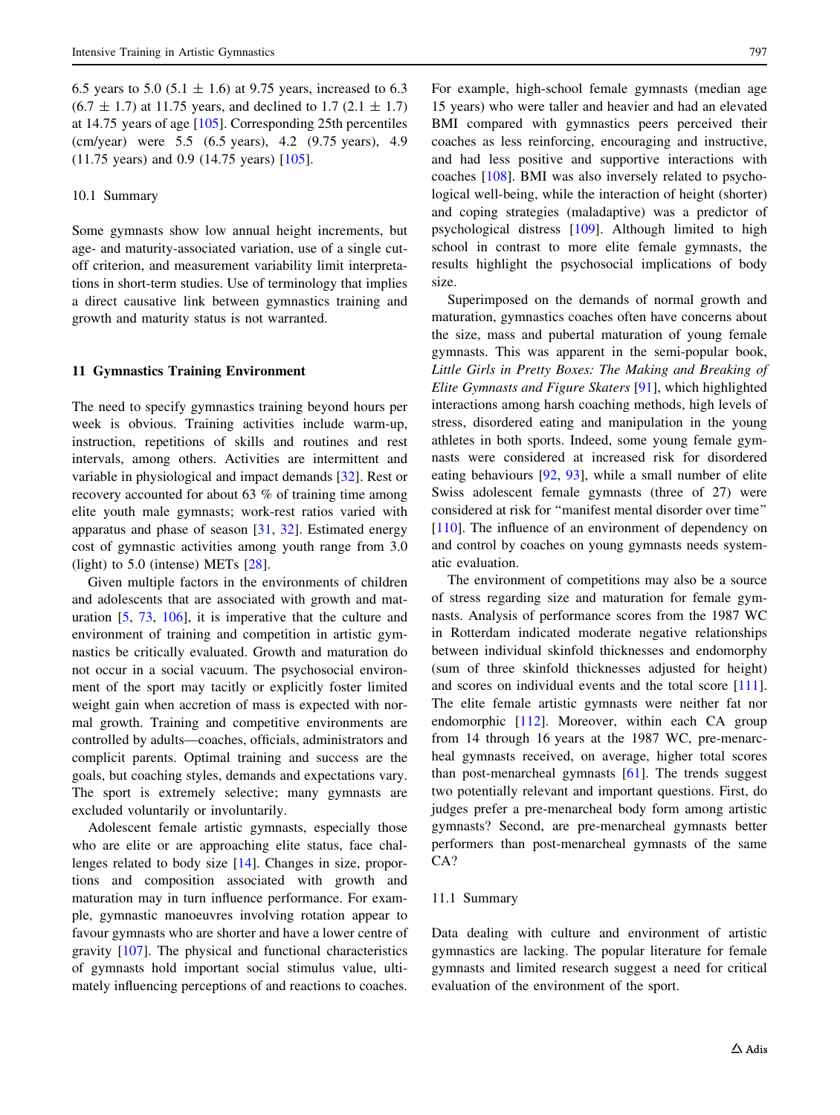6.5 years to 5.0 (5.1  $\pm$  1.6) at 9.75 years, increased to 6.3  $(6.7 \pm 1.7)$  at 11.75 years, and declined to 1.7 (2.1  $\pm$  1.7) at 14.75 years of age [\[105](#page-18-0)]. Corresponding 25th percentiles (cm/year) were 5.5 (6.5 years), 4.2 (9.75 years), 4.9 (11.75 years) and 0.9 (14.75 years) [[105\]](#page-18-0).

#### 10.1 Summary

Some gymnasts show low annual height increments, but age- and maturity-associated variation, use of a single cutoff criterion, and measurement variability limit interpretations in short-term studies. Use of terminology that implies a direct causative link between gymnastics training and growth and maturity status is not warranted.

## 11 Gymnastics Training Environment

The need to specify gymnastics training beyond hours per week is obvious. Training activities include warm-up, instruction, repetitions of skills and routines and rest intervals, among others. Activities are intermittent and variable in physiological and impact demands [[32\]](#page-17-0). Rest or recovery accounted for about 63 % of training time among elite youth male gymnasts; work-rest ratios varied with apparatus and phase of season [[31,](#page-17-0) [32\]](#page-17-0). Estimated energy cost of gymnastic activities among youth range from 3.0 (light) to  $5.0$  (intense) METs  $[28]$  $[28]$ .

Given multiple factors in the environments of children and adolescents that are associated with growth and maturation [[5,](#page-16-0) [73](#page-18-0), [106\]](#page-18-0), it is imperative that the culture and environment of training and competition in artistic gymnastics be critically evaluated. Growth and maturation do not occur in a social vacuum. The psychosocial environment of the sport may tacitly or explicitly foster limited weight gain when accretion of mass is expected with normal growth. Training and competitive environments are controlled by adults—coaches, officials, administrators and complicit parents. Optimal training and success are the goals, but coaching styles, demands and expectations vary. The sport is extremely selective; many gymnasts are excluded voluntarily or involuntarily.

Adolescent female artistic gymnasts, especially those who are elite or are approaching elite status, face challenges related to body size [[14\]](#page-16-0). Changes in size, proportions and composition associated with growth and maturation may in turn influence performance. For example, gymnastic manoeuvres involving rotation appear to favour gymnasts who are shorter and have a lower centre of gravity [[107\]](#page-18-0). The physical and functional characteristics of gymnasts hold important social stimulus value, ultimately influencing perceptions of and reactions to coaches. For example, high-school female gymnasts (median age 15 years) who were taller and heavier and had an elevated BMI compared with gymnastics peers perceived their coaches as less reinforcing, encouraging and instructive, and had less positive and supportive interactions with coaches [[108\]](#page-18-0). BMI was also inversely related to psychological well-being, while the interaction of height (shorter) and coping strategies (maladaptive) was a predictor of psychological distress [\[109](#page-18-0)]. Although limited to high school in contrast to more elite female gymnasts, the results highlight the psychosocial implications of body size.

Superimposed on the demands of normal growth and maturation, gymnastics coaches often have concerns about the size, mass and pubertal maturation of young female gymnasts. This was apparent in the semi-popular book, Little Girls in Pretty Boxes: The Making and Breaking of Elite Gymnasts and Figure Skaters [[91\]](#page-18-0), which highlighted interactions among harsh coaching methods, high levels of stress, disordered eating and manipulation in the young athletes in both sports. Indeed, some young female gymnasts were considered at increased risk for disordered eating behaviours [\[92](#page-18-0), [93](#page-18-0)], while a small number of elite Swiss adolescent female gymnasts (three of 27) were considered at risk for ''manifest mental disorder over time'' [\[110](#page-18-0)]. The influence of an environment of dependency on and control by coaches on young gymnasts needs systematic evaluation.

The environment of competitions may also be a source of stress regarding size and maturation for female gymnasts. Analysis of performance scores from the 1987 WC in Rotterdam indicated moderate negative relationships between individual skinfold thicknesses and endomorphy (sum of three skinfold thicknesses adjusted for height) and scores on individual events and the total score [\[111](#page-19-0)]. The elite female artistic gymnasts were neither fat nor endomorphic [[112\]](#page-19-0). Moreover, within each CA group from 14 through 16 years at the 1987 WC, pre-menarcheal gymnasts received, on average, higher total scores than post-menarcheal gymnasts [[61\]](#page-17-0). The trends suggest two potentially relevant and important questions. First, do judges prefer a pre-menarcheal body form among artistic gymnasts? Second, are pre-menarcheal gymnasts better performers than post-menarcheal gymnasts of the same CA?

#### 11.1 Summary

Data dealing with culture and environment of artistic gymnastics are lacking. The popular literature for female gymnasts and limited research suggest a need for critical evaluation of the environment of the sport.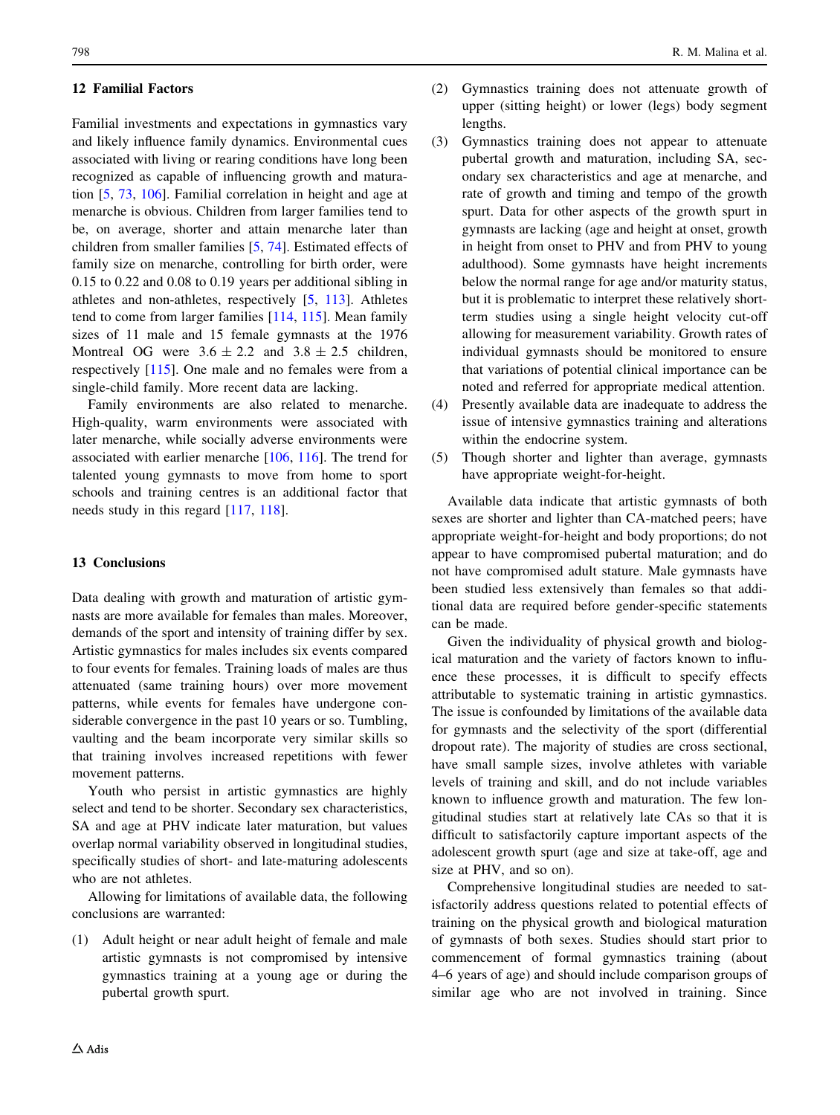#### 12 Familial Factors

Familial investments and expectations in gymnastics vary and likely influence family dynamics. Environmental cues associated with living or rearing conditions have long been recognized as capable of influencing growth and maturation [\[5](#page-16-0), [73,](#page-18-0) [106\]](#page-18-0). Familial correlation in height and age at menarche is obvious. Children from larger families tend to be, on average, shorter and attain menarche later than children from smaller families [[5,](#page-16-0) [74\]](#page-18-0). Estimated effects of family size on menarche, controlling for birth order, were 0.15 to 0.22 and 0.08 to 0.19 years per additional sibling in athletes and non-athletes, respectively [\[5](#page-16-0), [113](#page-19-0)]. Athletes tend to come from larger families [\[114](#page-19-0), [115\]](#page-19-0). Mean family sizes of 11 male and 15 female gymnasts at the 1976 Montreal OG were  $3.6 \pm 2.2$  and  $3.8 \pm 2.5$  children, respectively [\[115](#page-19-0)]. One male and no females were from a single-child family. More recent data are lacking.

Family environments are also related to menarche. High-quality, warm environments were associated with later menarche, while socially adverse environments were associated with earlier menarche [\[106,](#page-18-0) [116](#page-19-0)]. The trend for talented young gymnasts to move from home to sport schools and training centres is an additional factor that needs study in this regard [\[117](#page-19-0), [118\]](#page-19-0).

## 13 Conclusions

Data dealing with growth and maturation of artistic gymnasts are more available for females than males. Moreover, demands of the sport and intensity of training differ by sex. Artistic gymnastics for males includes six events compared to four events for females. Training loads of males are thus attenuated (same training hours) over more movement patterns, while events for females have undergone considerable convergence in the past 10 years or so. Tumbling, vaulting and the beam incorporate very similar skills so that training involves increased repetitions with fewer movement patterns.

Youth who persist in artistic gymnastics are highly select and tend to be shorter. Secondary sex characteristics, SA and age at PHV indicate later maturation, but values overlap normal variability observed in longitudinal studies, specifically studies of short- and late-maturing adolescents who are not athletes.

Allowing for limitations of available data, the following conclusions are warranted:

(1) Adult height or near adult height of female and male artistic gymnasts is not compromised by intensive gymnastics training at a young age or during the pubertal growth spurt.

- (2) Gymnastics training does not attenuate growth of upper (sitting height) or lower (legs) body segment lengths.
- (3) Gymnastics training does not appear to attenuate pubertal growth and maturation, including SA, secondary sex characteristics and age at menarche, and rate of growth and timing and tempo of the growth spurt. Data for other aspects of the growth spurt in gymnasts are lacking (age and height at onset, growth in height from onset to PHV and from PHV to young adulthood). Some gymnasts have height increments below the normal range for age and/or maturity status, but it is problematic to interpret these relatively shortterm studies using a single height velocity cut-off allowing for measurement variability. Growth rates of individual gymnasts should be monitored to ensure that variations of potential clinical importance can be noted and referred for appropriate medical attention.
- (4) Presently available data are inadequate to address the issue of intensive gymnastics training and alterations within the endocrine system.
- (5) Though shorter and lighter than average, gymnasts have appropriate weight-for-height.

Available data indicate that artistic gymnasts of both sexes are shorter and lighter than CA-matched peers; have appropriate weight-for-height and body proportions; do not appear to have compromised pubertal maturation; and do not have compromised adult stature. Male gymnasts have been studied less extensively than females so that additional data are required before gender-specific statements can be made.

Given the individuality of physical growth and biological maturation and the variety of factors known to influence these processes, it is difficult to specify effects attributable to systematic training in artistic gymnastics. The issue is confounded by limitations of the available data for gymnasts and the selectivity of the sport (differential dropout rate). The majority of studies are cross sectional, have small sample sizes, involve athletes with variable levels of training and skill, and do not include variables known to influence growth and maturation. The few longitudinal studies start at relatively late CAs so that it is difficult to satisfactorily capture important aspects of the adolescent growth spurt (age and size at take-off, age and size at PHV, and so on).

Comprehensive longitudinal studies are needed to satisfactorily address questions related to potential effects of training on the physical growth and biological maturation of gymnasts of both sexes. Studies should start prior to commencement of formal gymnastics training (about 4–6 years of age) and should include comparison groups of similar age who are not involved in training. Since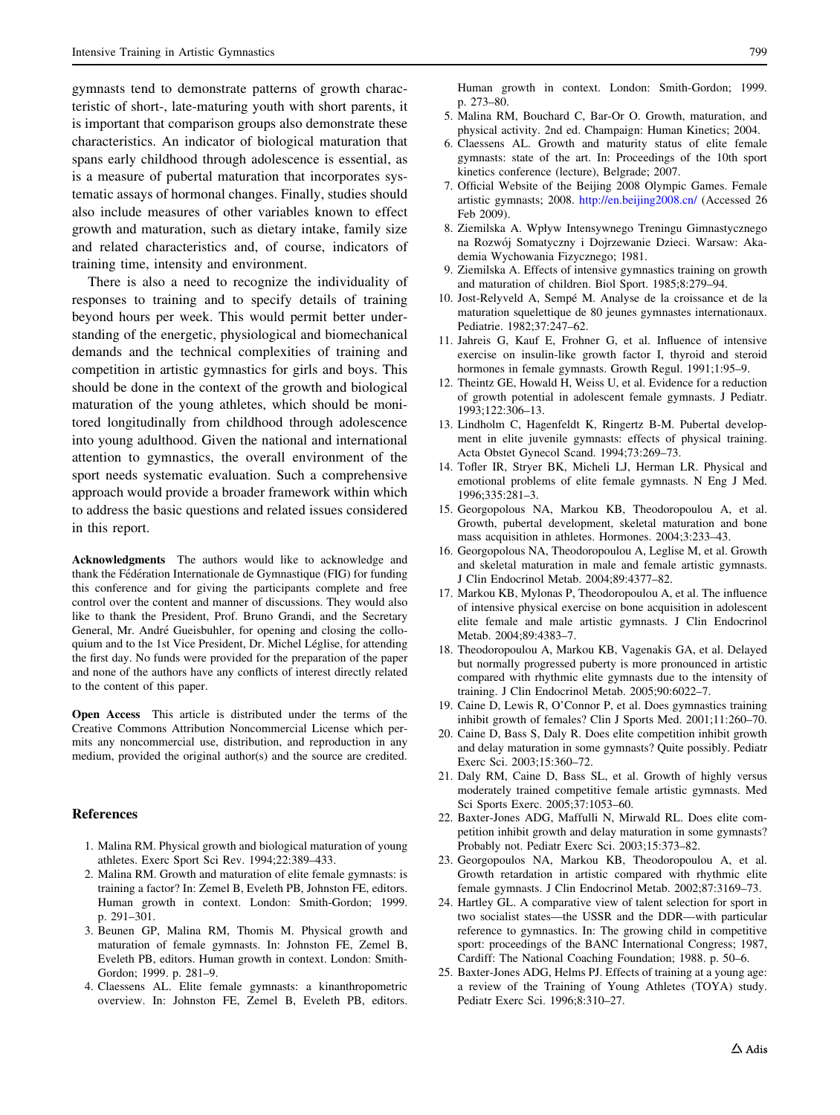<span id="page-16-0"></span>gymnasts tend to demonstrate patterns of growth characteristic of short-, late-maturing youth with short parents, it is important that comparison groups also demonstrate these characteristics. An indicator of biological maturation that spans early childhood through adolescence is essential, as is a measure of pubertal maturation that incorporates systematic assays of hormonal changes. Finally, studies should also include measures of other variables known to effect growth and maturation, such as dietary intake, family size and related characteristics and, of course, indicators of training time, intensity and environment.

There is also a need to recognize the individuality of responses to training and to specify details of training beyond hours per week. This would permit better understanding of the energetic, physiological and biomechanical demands and the technical complexities of training and competition in artistic gymnastics for girls and boys. This should be done in the context of the growth and biological maturation of the young athletes, which should be monitored longitudinally from childhood through adolescence into young adulthood. Given the national and international attention to gymnastics, the overall environment of the sport needs systematic evaluation. Such a comprehensive approach would provide a broader framework within which to address the basic questions and related issues considered in this report.

Acknowledgments The authors would like to acknowledge and thank the Fédération Internationale de Gymnastique (FIG) for funding this conference and for giving the participants complete and free control over the content and manner of discussions. They would also like to thank the President, Prof. Bruno Grandi, and the Secretary General, Mr. André Gueisbuhler, for opening and closing the colloquium and to the 1st Vice President, Dr. Michel Léglise, for attending the first day. No funds were provided for the preparation of the paper and none of the authors have any conflicts of interest directly related to the content of this paper.

Open Access This article is distributed under the terms of the Creative Commons Attribution Noncommercial License which permits any noncommercial use, distribution, and reproduction in any medium, provided the original author(s) and the source are credited.

## References

- 1. Malina RM. Physical growth and biological maturation of young athletes. Exerc Sport Sci Rev. 1994;22:389–433.
- 2. Malina RM. Growth and maturation of elite female gymnasts: is training a factor? In: Zemel B, Eveleth PB, Johnston FE, editors. Human growth in context. London: Smith-Gordon; 1999. p. 291–301.
- 3. Beunen GP, Malina RM, Thomis M. Physical growth and maturation of female gymnasts. In: Johnston FE, Zemel B, Eveleth PB, editors. Human growth in context. London: Smith-Gordon; 1999. p. 281–9.
- 4. Claessens AL. Elite female gymnasts: a kinanthropometric overview. In: Johnston FE, Zemel B, Eveleth PB, editors.

Human growth in context. London: Smith-Gordon; 1999. p. 273–80.

- 5. Malina RM, Bouchard C, Bar-Or O. Growth, maturation, and physical activity. 2nd ed. Champaign: Human Kinetics; 2004.
- 6. Claessens AL. Growth and maturity status of elite female gymnasts: state of the art. In: Proceedings of the 10th sport kinetics conference (lecture), Belgrade; 2007.
- 7. Official Website of the Beijing 2008 Olympic Games. Female artistic gymnasts; 2008. <http://en.beijing2008.cn/> (Accessed 26 Feb 2009).
- 8. Ziemilska A. Wpływ Intensywnego Treningu Gimnastycznego na Rozwo´j Somatyczny i Dojrzewanie Dzieci. Warsaw: Akademia Wychowania Fizycznego; 1981.
- 9. Ziemilska A. Effects of intensive gymnastics training on growth and maturation of children. Biol Sport. 1985;8:279–94.
- 10. Jost-Relyveld A, Sempé M. Analyse de la croissance et de la maturation squelettique de 80 jeunes gymnastes internationaux. Pediatrie. 1982;37:247–62.
- 11. Jahreis G, Kauf E, Frohner G, et al. Influence of intensive exercise on insulin-like growth factor I, thyroid and steroid hormones in female gymnasts. Growth Regul. 1991;1:95–9.
- 12. Theintz GE, Howald H, Weiss U, et al. Evidence for a reduction of growth potential in adolescent female gymnasts. J Pediatr. 1993;122:306–13.
- 13. Lindholm C, Hagenfeldt K, Ringertz B-M. Pubertal development in elite juvenile gymnasts: effects of physical training. Acta Obstet Gynecol Scand. 1994;73:269–73.
- 14. Tofler IR, Stryer BK, Micheli LJ, Herman LR. Physical and emotional problems of elite female gymnasts. N Eng J Med. 1996;335:281–3.
- 15. Georgopolous NA, Markou KB, Theodoropoulou A, et al. Growth, pubertal development, skeletal maturation and bone mass acquisition in athletes. Hormones. 2004;3:233–43.
- 16. Georgopolous NA, Theodoropoulou A, Leglise M, et al. Growth and skeletal maturation in male and female artistic gymnasts. J Clin Endocrinol Metab. 2004;89:4377–82.
- 17. Markou KB, Mylonas P, Theodoropoulou A, et al. The influence of intensive physical exercise on bone acquisition in adolescent elite female and male artistic gymnasts. J Clin Endocrinol Metab. 2004;89:4383–7.
- 18. Theodoropoulou A, Markou KB, Vagenakis GA, et al. Delayed but normally progressed puberty is more pronounced in artistic compared with rhythmic elite gymnasts due to the intensity of training. J Clin Endocrinol Metab. 2005;90:6022–7.
- 19. Caine D, Lewis R, O'Connor P, et al. Does gymnastics training inhibit growth of females? Clin J Sports Med. 2001;11:260–70.
- 20. Caine D, Bass S, Daly R. Does elite competition inhibit growth and delay maturation in some gymnasts? Quite possibly. Pediatr Exerc Sci. 2003;15:360–72.
- 21. Daly RM, Caine D, Bass SL, et al. Growth of highly versus moderately trained competitive female artistic gymnasts. Med Sci Sports Exerc. 2005;37:1053–60.
- 22. Baxter-Jones ADG, Maffulli N, Mirwald RL. Does elite competition inhibit growth and delay maturation in some gymnasts? Probably not. Pediatr Exerc Sci. 2003;15:373–82.
- 23. Georgopoulos NA, Markou KB, Theodoropoulou A, et al. Growth retardation in artistic compared with rhythmic elite female gymnasts. J Clin Endocrinol Metab. 2002;87:3169–73.
- 24. Hartley GL. A comparative view of talent selection for sport in two socialist states—the USSR and the DDR—with particular reference to gymnastics. In: The growing child in competitive sport: proceedings of the BANC International Congress; 1987, Cardiff: The National Coaching Foundation; 1988. p. 50–6.
- 25. Baxter-Jones ADG, Helms PJ. Effects of training at a young age: a review of the Training of Young Athletes (TOYA) study. Pediatr Exerc Sci. 1996;8:310–27.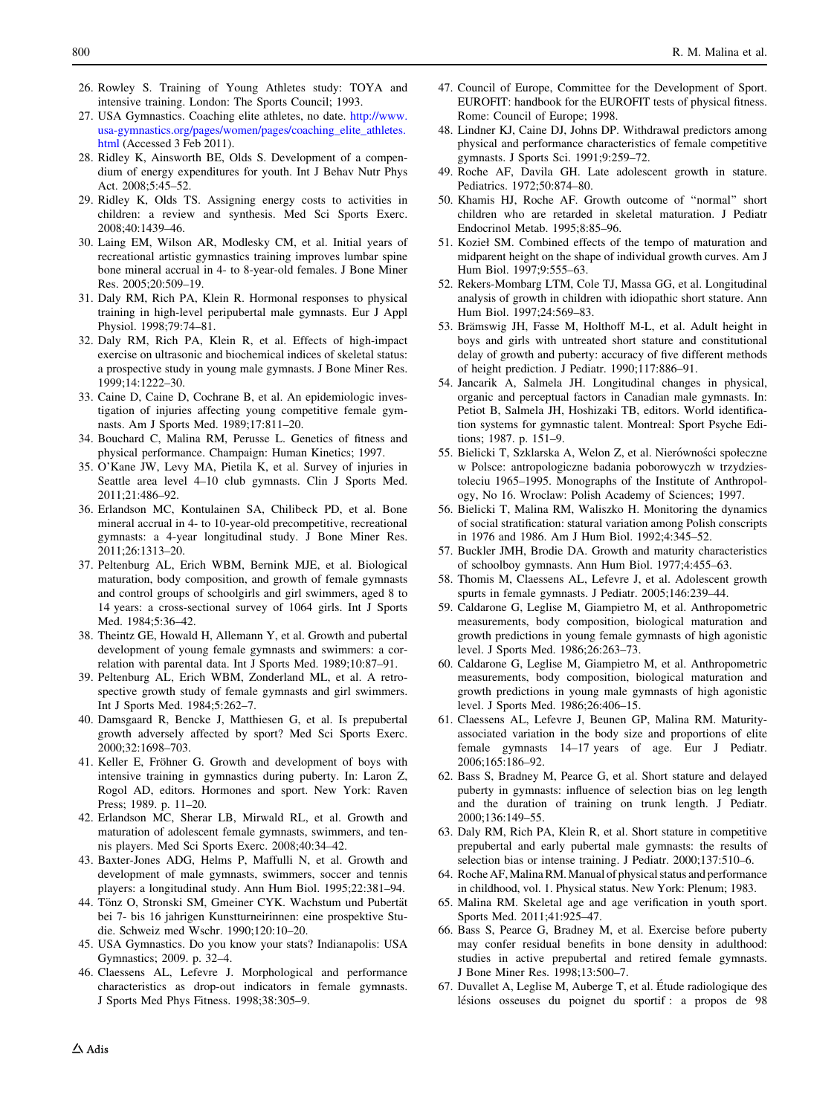- <span id="page-17-0"></span>26. Rowley S. Training of Young Athletes study: TOYA and intensive training. London: The Sports Council; 1993.
- 27. USA Gymnastics. Coaching elite athletes, no date. [http://www.](http://www.usa-gymnastics.org/pages/women/pages/coaching_elite_athletes.html) [usa-gymnastics.org/pages/women/pages/coaching\\_elite\\_athletes.](http://www.usa-gymnastics.org/pages/women/pages/coaching_elite_athletes.html) [html](http://www.usa-gymnastics.org/pages/women/pages/coaching_elite_athletes.html) (Accessed 3 Feb 2011).
- 28. Ridley K, Ainsworth BE, Olds S. Development of a compendium of energy expenditures for youth. Int J Behav Nutr Phys Act. 2008;5:45–52.
- 29. Ridley K, Olds TS. Assigning energy costs to activities in children: a review and synthesis. Med Sci Sports Exerc. 2008;40:1439–46.
- 30. Laing EM, Wilson AR, Modlesky CM, et al. Initial years of recreational artistic gymnastics training improves lumbar spine bone mineral accrual in 4- to 8-year-old females. J Bone Miner Res. 2005;20:509–19.
- 31. Daly RM, Rich PA, Klein R. Hormonal responses to physical training in high-level peripubertal male gymnasts. Eur J Appl Physiol. 1998;79:74–81.
- 32. Daly RM, Rich PA, Klein R, et al. Effects of high-impact exercise on ultrasonic and biochemical indices of skeletal status: a prospective study in young male gymnasts. J Bone Miner Res. 1999;14:1222–30.
- 33. Caine D, Caine D, Cochrane B, et al. An epidemiologic investigation of injuries affecting young competitive female gymnasts. Am J Sports Med. 1989;17:811–20.
- 34. Bouchard C, Malina RM, Perusse L. Genetics of fitness and physical performance. Champaign: Human Kinetics; 1997.
- 35. O'Kane JW, Levy MA, Pietila K, et al. Survey of injuries in Seattle area level 4–10 club gymnasts. Clin J Sports Med. 2011;21:486–92.
- 36. Erlandson MC, Kontulainen SA, Chilibeck PD, et al. Bone mineral accrual in 4- to 10-year-old precompetitive, recreational gymnasts: a 4-year longitudinal study. J Bone Miner Res. 2011;26:1313–20.
- 37. Peltenburg AL, Erich WBM, Bernink MJE, et al. Biological maturation, body composition, and growth of female gymnasts and control groups of schoolgirls and girl swimmers, aged 8 to 14 years: a cross-sectional survey of 1064 girls. Int J Sports Med. 1984;5:36–42.
- 38. Theintz GE, Howald H, Allemann Y, et al. Growth and pubertal development of young female gymnasts and swimmers: a correlation with parental data. Int J Sports Med. 1989;10:87–91.
- 39. Peltenburg AL, Erich WBM, Zonderland ML, et al. A retrospective growth study of female gymnasts and girl swimmers. Int J Sports Med. 1984;5:262–7.
- 40. Damsgaard R, Bencke J, Matthiesen G, et al. Is prepubertal growth adversely affected by sport? Med Sci Sports Exerc. 2000;32:1698–703.
- 41. Keller E, Fröhner G. Growth and development of boys with intensive training in gymnastics during puberty. In: Laron Z, Rogol AD, editors. Hormones and sport. New York: Raven Press; 1989. p. 11–20.
- 42. Erlandson MC, Sherar LB, Mirwald RL, et al. Growth and maturation of adolescent female gymnasts, swimmers, and tennis players. Med Sci Sports Exerc. 2008;40:34–42.
- 43. Baxter-Jones ADG, Helms P, Maffulli N, et al. Growth and development of male gymnasts, swimmers, soccer and tennis players: a longitudinal study. Ann Hum Biol. 1995;22:381–94.
- 44. Tönz O, Stronski SM, Gmeiner CYK. Wachstum und Pubertät bei 7- bis 16 jahrigen Kunstturneirinnen: eine prospektive Studie. Schweiz med Wschr. 1990;120:10–20.
- 45. USA Gymnastics. Do you know your stats? Indianapolis: USA Gymnastics; 2009. p. 32–4.
- 46. Claessens AL, Lefevre J. Morphological and performance characteristics as drop-out indicators in female gymnasts. J Sports Med Phys Fitness. 1998;38:305–9.
- 47. Council of Europe, Committee for the Development of Sport. EUROFIT: handbook for the EUROFIT tests of physical fitness. Rome: Council of Europe; 1998.
- 48. Lindner KJ, Caine DJ, Johns DP. Withdrawal predictors among physical and performance characteristics of female competitive gymnasts. J Sports Sci. 1991;9:259–72.
- 49. Roche AF, Davila GH. Late adolescent growth in stature. Pediatrics. 1972;50:874–80.
- 50. Khamis HJ, Roche AF. Growth outcome of ''normal'' short children who are retarded in skeletal maturation. J Pediatr Endocrinol Metab. 1995;8:85–96.
- 51. Kozieł SM. Combined effects of the tempo of maturation and midparent height on the shape of individual growth curves. Am J Hum Biol. 1997;9:555–63.
- 52. Rekers-Mombarg LTM, Cole TJ, Massa GG, et al. Longitudinal analysis of growth in children with idiopathic short stature. Ann Hum Biol. 1997;24:569–83.
- 53. Brämswig JH, Fasse M, Holthoff M-L, et al. Adult height in boys and girls with untreated short stature and constitutional delay of growth and puberty: accuracy of five different methods of height prediction. J Pediatr. 1990;117:886–91.
- 54. Jancarik A, Salmela JH. Longitudinal changes in physical, organic and perceptual factors in Canadian male gymnasts. In: Petiot B, Salmela JH, Hoshizaki TB, editors. World identification systems for gymnastic talent. Montreal: Sport Psyche Editions; 1987. p. 151–9.
- 55. Bielicki T, Szklarska A, Welon Z, et al. Nierówności społeczne w Polsce: antropologiczne badania poborowyczh w trzydziestoleciu 1965–1995. Monographs of the Institute of Anthropology, No 16. Wroclaw: Polish Academy of Sciences; 1997.
- 56. Bielicki T, Malina RM, Waliszko H. Monitoring the dynamics of social stratification: statural variation among Polish conscripts in 1976 and 1986. Am J Hum Biol. 1992;4:345–52.
- 57. Buckler JMH, Brodie DA. Growth and maturity characteristics of schoolboy gymnasts. Ann Hum Biol. 1977;4:455–63.
- 58. Thomis M, Claessens AL, Lefevre J, et al. Adolescent growth spurts in female gymnasts. J Pediatr. 2005;146:239–44.
- 59. Caldarone G, Leglise M, Giampietro M, et al. Anthropometric measurements, body composition, biological maturation and growth predictions in young female gymnasts of high agonistic level. J Sports Med. 1986;26:263–73.
- 60. Caldarone G, Leglise M, Giampietro M, et al. Anthropometric measurements, body composition, biological maturation and growth predictions in young male gymnasts of high agonistic level. J Sports Med. 1986;26:406–15.
- 61. Claessens AL, Lefevre J, Beunen GP, Malina RM. Maturityassociated variation in the body size and proportions of elite female gymnasts 14–17 years of age. Eur J Pediatr. 2006;165:186–92.
- 62. Bass S, Bradney M, Pearce G, et al. Short stature and delayed puberty in gymnasts: influence of selection bias on leg length and the duration of training on trunk length. J Pediatr. 2000;136:149–55.
- 63. Daly RM, Rich PA, Klein R, et al. Short stature in competitive prepubertal and early pubertal male gymnasts: the results of selection bias or intense training. J Pediatr. 2000;137:510–6.
- 64. Roche AF, Malina RM. Manual of physical status and performance in childhood, vol. 1. Physical status. New York: Plenum; 1983.
- 65. Malina RM. Skeletal age and age verification in youth sport. Sports Med. 2011;41:925–47.
- 66. Bass S, Pearce G, Bradney M, et al. Exercise before puberty may confer residual benefits in bone density in adulthood: studies in active prepubertal and retired female gymnasts. J Bone Miner Res. 1998;13:500–7.
- 67. Duvallet A, Leglise M, Auberge T, et al. Etude radiologique des lésions osseuses du poignet du sportif : a propos de 98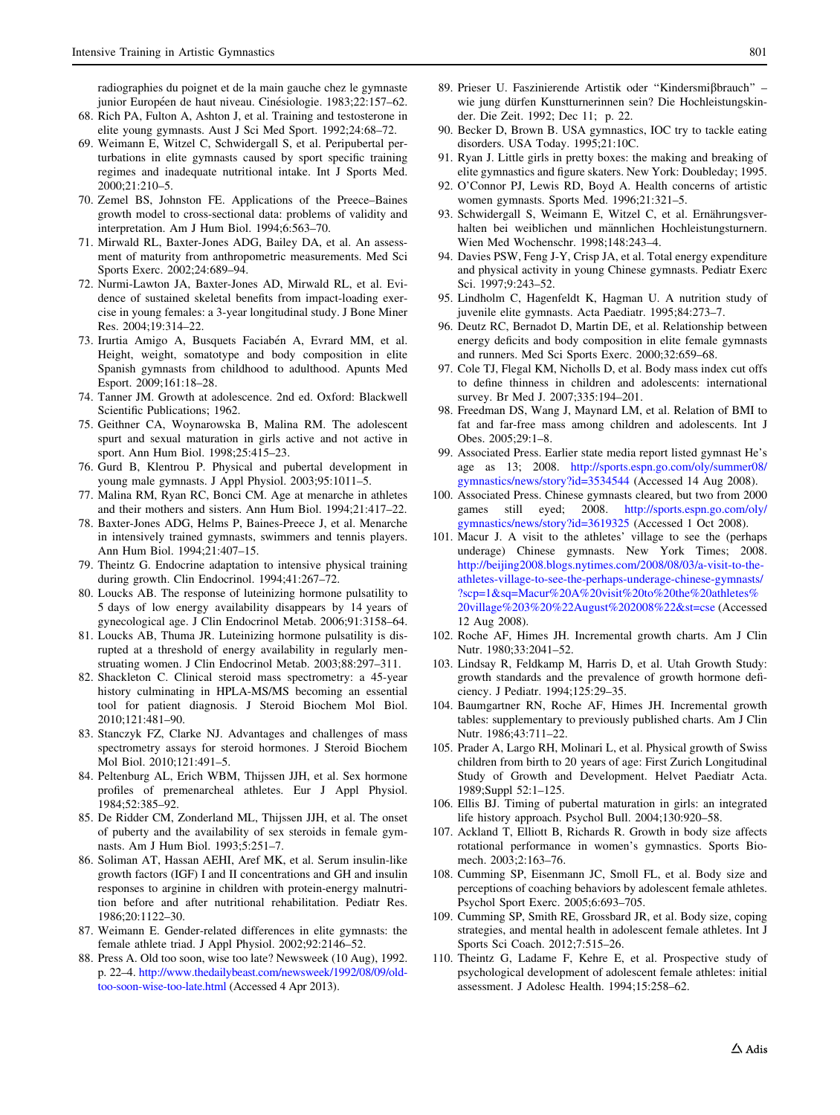<span id="page-18-0"></span>radiographies du poignet et de la main gauche chez le gymnaste junior Européen de haut niveau. Cinésiologie. 1983;22:157–62.

- 68. Rich PA, Fulton A, Ashton J, et al. Training and testosterone in elite young gymnasts. Aust J Sci Med Sport. 1992;24:68–72.
- 69. Weimann E, Witzel C, Schwidergall S, et al. Peripubertal perturbations in elite gymnasts caused by sport specific training regimes and inadequate nutritional intake. Int J Sports Med. 2000;21:210–5.
- 70. Zemel BS, Johnston FE. Applications of the Preece–Baines growth model to cross-sectional data: problems of validity and interpretation. Am J Hum Biol. 1994;6:563–70.
- 71. Mirwald RL, Baxter-Jones ADG, Bailey DA, et al. An assessment of maturity from anthropometric measurements. Med Sci Sports Exerc. 2002;24:689–94.
- 72. Nurmi-Lawton JA, Baxter-Jones AD, Mirwald RL, et al. Evidence of sustained skeletal benefits from impact-loading exercise in young females: a 3-year longitudinal study. J Bone Miner Res. 2004;19:314–22.
- 73. Irurtia Amigo A, Busquets Faciabén A, Evrard MM, et al. Height, weight, somatotype and body composition in elite Spanish gymnasts from childhood to adulthood. Apunts Med Esport. 2009;161:18–28.
- 74. Tanner JM. Growth at adolescence. 2nd ed. Oxford: Blackwell Scientific Publications; 1962.
- 75. Geithner CA, Woynarowska B, Malina RM. The adolescent spurt and sexual maturation in girls active and not active in sport. Ann Hum Biol. 1998;25:415–23.
- 76. Gurd B, Klentrou P. Physical and pubertal development in young male gymnasts. J Appl Physiol. 2003;95:1011–5.
- 77. Malina RM, Ryan RC, Bonci CM. Age at menarche in athletes and their mothers and sisters. Ann Hum Biol. 1994;21:417–22.
- 78. Baxter-Jones ADG, Helms P, Baines-Preece J, et al. Menarche in intensively trained gymnasts, swimmers and tennis players. Ann Hum Biol. 1994;21:407–15.
- 79. Theintz G. Endocrine adaptation to intensive physical training during growth. Clin Endocrinol. 1994;41:267–72.
- 80. Loucks AB. The response of luteinizing hormone pulsatility to 5 days of low energy availability disappears by 14 years of gynecological age. J Clin Endocrinol Metab. 2006;91:3158–64.
- 81. Loucks AB, Thuma JR. Luteinizing hormone pulsatility is disrupted at a threshold of energy availability in regularly menstruating women. J Clin Endocrinol Metab. 2003;88:297–311.
- 82. Shackleton C. Clinical steroid mass spectrometry: a 45-year history culminating in HPLA-MS/MS becoming an essential tool for patient diagnosis. J Steroid Biochem Mol Biol. 2010;121:481–90.
- 83. Stanczyk FZ, Clarke NJ. Advantages and challenges of mass spectrometry assays for steroid hormones. J Steroid Biochem Mol Biol. 2010;121:491–5.
- 84. Peltenburg AL, Erich WBM, Thijssen JJH, et al. Sex hormone profiles of premenarcheal athletes. Eur J Appl Physiol. 1984;52:385–92.
- 85. De Ridder CM, Zonderland ML, Thijssen JJH, et al. The onset of puberty and the availability of sex steroids in female gymnasts. Am J Hum Biol. 1993;5:251–7.
- 86. Soliman AT, Hassan AEHI, Aref MK, et al. Serum insulin-like growth factors (IGF) I and II concentrations and GH and insulin responses to arginine in children with protein-energy malnutrition before and after nutritional rehabilitation. Pediatr Res. 1986;20:1122–30.
- 87. Weimann E. Gender-related differences in elite gymnasts: the female athlete triad. J Appl Physiol. 2002;92:2146–52.
- 88. Press A. Old too soon, wise too late? Newsweek (10 Aug), 1992. p. 22–4. [http://www.thedailybeast.com/newsweek/1992/08/09/old](http://www.thedailybeast.com/newsweek/1992/08/09/old-too-soon-wise-too-late.html)[too-soon-wise-too-late.html](http://www.thedailybeast.com/newsweek/1992/08/09/old-too-soon-wise-too-late.html) (Accessed 4 Apr 2013).
- 89. Prieser U. Faszinierende Artistik oder "Kindersmißbrauch" wie jung dürfen Kunstturnerinnen sein? Die Hochleistungskinder. Die Zeit. 1992; Dec 11; p. 22.
- 90. Becker D, Brown B. USA gymnastics, IOC try to tackle eating disorders. USA Today. 1995;21:10C.
- 91. Ryan J. Little girls in pretty boxes: the making and breaking of elite gymnastics and figure skaters. New York: Doubleday; 1995.
- 92. O'Connor PJ, Lewis RD, Boyd A. Health concerns of artistic women gymnasts. Sports Med. 1996;21:321–5.
- 93. Schwidergall S, Weimann E, Witzel C, et al. Ernährungsverhalten bei weiblichen und männlichen Hochleistungsturnern. Wien Med Wochenschr. 1998;148:243–4.
- 94. Davies PSW, Feng J-Y, Crisp JA, et al. Total energy expenditure and physical activity in young Chinese gymnasts. Pediatr Exerc Sci. 1997;9:243–52.
- 95. Lindholm C, Hagenfeldt K, Hagman U. A nutrition study of juvenile elite gymnasts. Acta Paediatr. 1995;84:273–7.
- 96. Deutz RC, Bernadot D, Martin DE, et al. Relationship between energy deficits and body composition in elite female gymnasts and runners. Med Sci Sports Exerc. 2000;32:659–68.
- 97. Cole TJ, Flegal KM, Nicholls D, et al. Body mass index cut offs to define thinness in children and adolescents: international survey. Br Med J. 2007;335:194–201.
- 98. Freedman DS, Wang J, Maynard LM, et al. Relation of BMI to fat and far-free mass among children and adolescents. Int J Obes. 2005;29:1–8.
- 99. Associated Press. Earlier state media report listed gymnast He's age as 13; 2008. [http://sports.espn.go.com/oly/summer08/](http://sports.espn.go.com/oly/summer08/gymnastics/news/story?id=3534544) [gymnastics/news/story?id=3534544](http://sports.espn.go.com/oly/summer08/gymnastics/news/story?id=3534544) (Accessed 14 Aug 2008).
- 100. Associated Press. Chinese gymnasts cleared, but two from 2000 games still eyed; 2008. [http://sports.espn.go.com/oly/](http://sports.espn.go.com/oly/gymnastics/news/story?id=3619325) [gymnastics/news/story?id=3619325](http://sports.espn.go.com/oly/gymnastics/news/story?id=3619325) (Accessed 1 Oct 2008).
- 101. Macur J. A visit to the athletes' village to see the (perhaps underage) Chinese gymnasts. New York Times; 2008. [http://beijing2008.blogs.nytimes.com/2008/08/03/a-visit-to-the](http://beijing2008.blogs.nytimes.com/2008/08/03/a-visit-to-the-athletes-village-to-see-the-perhaps-underage-chinese-gymnasts/?scp=1&sq=Macur%20A%20visit%20to%20the%20athletes%20village%203%20%22August%202008%22&st=cse)[athletes-village-to-see-the-perhaps-underage-chinese-gymnasts/](http://beijing2008.blogs.nytimes.com/2008/08/03/a-visit-to-the-athletes-village-to-see-the-perhaps-underage-chinese-gymnasts/?scp=1&sq=Macur%20A%20visit%20to%20the%20athletes%20village%203%20%22August%202008%22&st=cse) [?scp=1&sq=Macur%20A%20visit%20to%20the%20athletes%](http://beijing2008.blogs.nytimes.com/2008/08/03/a-visit-to-the-athletes-village-to-see-the-perhaps-underage-chinese-gymnasts/?scp=1&sq=Macur%20A%20visit%20to%20the%20athletes%20village%203%20%22August%202008%22&st=cse) [20village%203%20%22August%202008%22&st=cse](http://beijing2008.blogs.nytimes.com/2008/08/03/a-visit-to-the-athletes-village-to-see-the-perhaps-underage-chinese-gymnasts/?scp=1&sq=Macur%20A%20visit%20to%20the%20athletes%20village%203%20%22August%202008%22&st=cse) (Accessed 12 Aug 2008).
- 102. Roche AF, Himes JH. Incremental growth charts. Am J Clin Nutr. 1980;33:2041–52.
- 103. Lindsay R, Feldkamp M, Harris D, et al. Utah Growth Study: growth standards and the prevalence of growth hormone deficiency. J Pediatr. 1994;125:29–35.
- 104. Baumgartner RN, Roche AF, Himes JH. Incremental growth tables: supplementary to previously published charts. Am J Clin Nutr. 1986;43:711–22.
- 105. Prader A, Largo RH, Molinari L, et al. Physical growth of Swiss children from birth to 20 years of age: First Zurich Longitudinal Study of Growth and Development. Helvet Paediatr Acta. 1989;Suppl 52:1–125.
- 106. Ellis BJ. Timing of pubertal maturation in girls: an integrated life history approach. Psychol Bull. 2004;130:920–58.
- 107. Ackland T, Elliott B, Richards R. Growth in body size affects rotational performance in women's gymnastics. Sports Biomech. 2003;2:163–76.
- 108. Cumming SP, Eisenmann JC, Smoll FL, et al. Body size and perceptions of coaching behaviors by adolescent female athletes. Psychol Sport Exerc. 2005;6:693–705.
- 109. Cumming SP, Smith RE, Grossbard JR, et al. Body size, coping strategies, and mental health in adolescent female athletes. Int J Sports Sci Coach. 2012;7:515–26.
- 110. Theintz G, Ladame F, Kehre E, et al. Prospective study of psychological development of adolescent female athletes: initial assessment. J Adolesc Health. 1994;15:258–62.